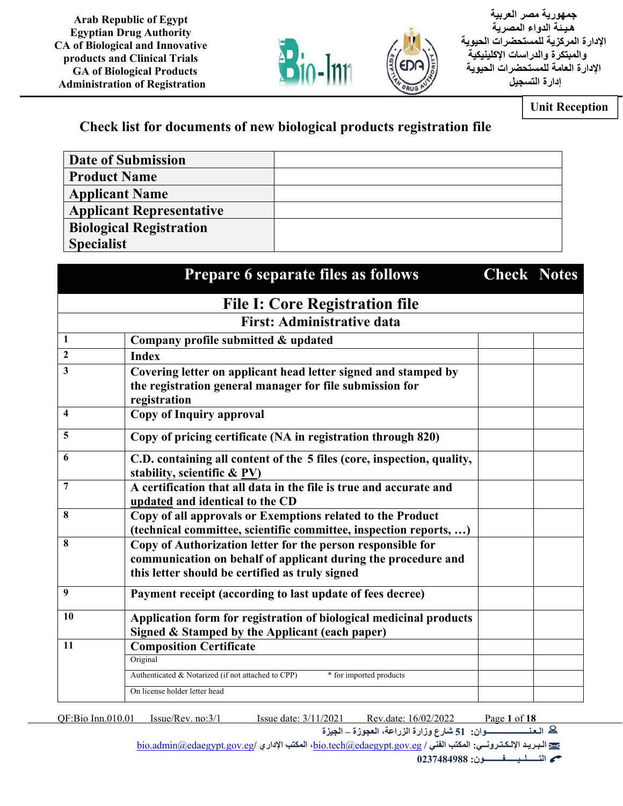

 **جمهورية مصر العربية هـيـ ئة الدواء المصرية الإدارة المركزية للمستحضرات الحيوية والمبتكرة والدراسات الإكلينيكية الإدارة العامة للمستحضرات الحيوية إدارة التسجيل**

**Unit Reception** 

## **Check list for documents of new biological products registration file**

| Date of Submission              |  |
|---------------------------------|--|
| <b>Product Name</b>             |  |
| <b>Applicant Name</b>           |  |
| <b>Applicant Representative</b> |  |
| <b>Biological Registration</b>  |  |
| <b>Specialist</b>               |  |

|                         | Prepare 6 separate files as follows                                                                                                                                             | <b>Check Notes</b> |  |
|-------------------------|---------------------------------------------------------------------------------------------------------------------------------------------------------------------------------|--------------------|--|
|                         | <b>File I: Core Registration file</b>                                                                                                                                           |                    |  |
|                         | <b>First: Administrative data</b>                                                                                                                                               |                    |  |
| 1                       | Company profile submitted & updated                                                                                                                                             |                    |  |
| $\mathbf{2}$            | <b>Index</b>                                                                                                                                                                    |                    |  |
| 3                       | Covering letter on applicant head letter signed and stamped by                                                                                                                  |                    |  |
|                         | the registration general manager for file submission for<br>registration                                                                                                        |                    |  |
| $\overline{\mathbf{4}}$ | <b>Copy of Inquiry approval</b>                                                                                                                                                 |                    |  |
| 5                       | Copy of pricing certificate (NA in registration through 820)                                                                                                                    |                    |  |
| 6                       | C.D. containing all content of the 5 files (core, inspection, quality,<br>stability, scientific & PV)                                                                           |                    |  |
| 7                       | A certification that all data in the file is true and accurate and<br>updated and identical to the CD                                                                           |                    |  |
| 8                       | Copy of all approvals or Exemptions related to the Product<br>(technical committee, scientific committee, inspection reports, )                                                 |                    |  |
| 8                       | Copy of Authorization letter for the person responsible for<br>communication on behalf of applicant during the procedure and<br>this letter should be certified as truly signed |                    |  |
| 9                       | Payment receipt (according to last update of fees decree)                                                                                                                       |                    |  |
| 10                      | Application form for registration of biological medicinal products<br>Signed & Stamped by the Applicant (each paper)                                                            |                    |  |
| 11                      | <b>Composition Certificate</b>                                                                                                                                                  |                    |  |
|                         | Original                                                                                                                                                                        |                    |  |
|                         | Authenticated & Notarized (if not attached to CPP)<br>* for imported products                                                                                                   |                    |  |
|                         | On license holder letter head                                                                                                                                                   |                    |  |

QF:Bio Inn.010.01 Issue/Rev. no:3/1 Issue date: 3/11/2021 Rev.date: 16/02/2022 Page **1** of **18**

**الـعـنـــــــــــــــــــــوان: 51 شارع وزارة الزراعة، العجوزة – الجيزة** bio.admin@edaegypt.gov.eg**/ الإداري المكتب ،**bio.tech@edaegypt.gov.eg **/ الفني المكتب :الإلـكـتـرونــي الـبـريـد**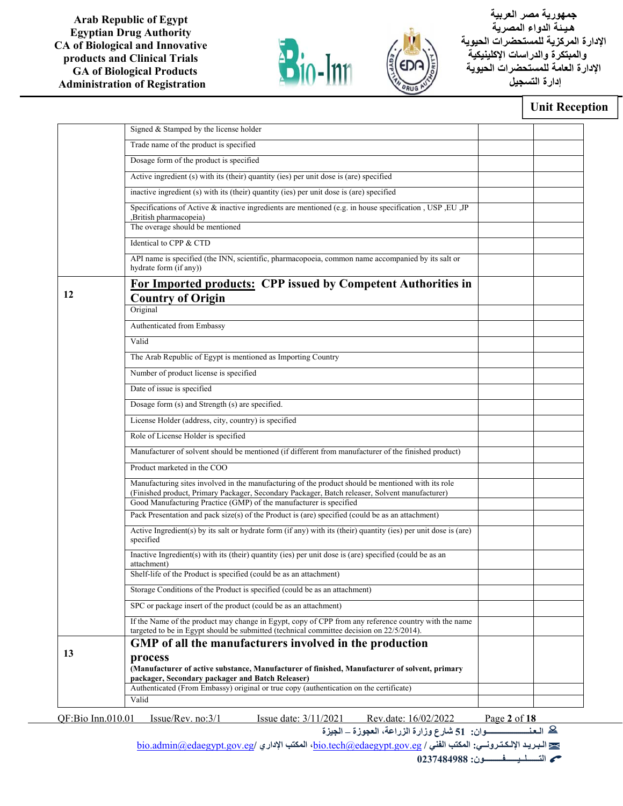



 **جمهورية مصر العربية هـيـ ئة الدواء المصرية الإدارة المركزية للمستحضرات الحيوية والمبتكرة والدراسات الإكلينيكية الإدارة العامة للمستحضرات الحيوية إدارة التسجيل**

### **Unit Reception**

| Trade name of the product is specified<br>Dosage form of the product is specified<br>Active ingredient (s) with its (their) quantity (ies) per unit dose is (are) specified<br>inactive ingredient (s) with its (their) quantity (ies) per unit dose is (are) specified<br>Specifications of Active & inactive ingredients are mentioned (e.g. in house specification, USP, EU, JP<br>,British pharmacopeia)<br>The overage should be mentioned<br>Identical to CPP & CTD<br>API name is specified (the INN, scientific, pharmacopoeia, common name accompanied by its salt or<br>hydrate form (if any))<br>For Imported products: CPP issued by Competent Authorities in<br>12<br><b>Country of Origin</b><br>Original<br>Authenticated from Embassy<br>Valid<br>The Arab Republic of Egypt is mentioned as Importing Country<br>Number of product license is specified<br>Date of issue is specified<br>Dosage form (s) and Strength (s) are specified.<br>License Holder (address, city, country) is specified<br>Role of License Holder is specified<br>Manufacturer of solvent should be mentioned (if different from manufacturer of the finished product)<br>Product marketed in the COO<br>Manufacturing sites involved in the manufacturing of the product should be mentioned with its role<br>(Finished product, Primary Packager, Secondary Packager, Batch releaser, Solvent manufacturer)<br>Good Manufacturing Practice (GMP) of the manufacturer is specified<br>Pack Presentation and pack size(s) of the Product is (are) specified (could be as an attachment)<br>Active Ingredient(s) by its salt or hydrate form (if any) with its (their) quantity (ies) per unit dose is (are)<br>specified<br>Inactive Ingredient(s) with its (their) quantity (ies) per unit dose is (are) specified (could be as an<br>attachment)<br>Shelf-life of the Product is specified (could be as an attachment)<br>Storage Conditions of the Product is specified (could be as an attachment)<br>SPC or package insert of the product (could be as an attachment)<br>If the Name of the product may change in Egypt, copy of CPP from any reference country with the name<br>targeted to be in Egypt should be submitted (technical committee decision on 22/5/2014).<br>GMP of all the manufacturers involved in the production<br>13<br>process<br>(Manufacturer of active substance, Manufacturer of finished, Manufacturer of solvent, primary<br>packager, Secondary packager and Batch Releaser)<br>Authenticated (From Embassy) original or true copy (authentication on the certificate)<br>Valid<br>QF:Bio Inn.010.01<br>Issue/Rev. no:3/1<br>Issue date: 3/11/2021<br>Rev.date: 16/02/2022<br>Page $2$ of $18$ | Signed & Stamped by the license holder |  |
|-----------------------------------------------------------------------------------------------------------------------------------------------------------------------------------------------------------------------------------------------------------------------------------------------------------------------------------------------------------------------------------------------------------------------------------------------------------------------------------------------------------------------------------------------------------------------------------------------------------------------------------------------------------------------------------------------------------------------------------------------------------------------------------------------------------------------------------------------------------------------------------------------------------------------------------------------------------------------------------------------------------------------------------------------------------------------------------------------------------------------------------------------------------------------------------------------------------------------------------------------------------------------------------------------------------------------------------------------------------------------------------------------------------------------------------------------------------------------------------------------------------------------------------------------------------------------------------------------------------------------------------------------------------------------------------------------------------------------------------------------------------------------------------------------------------------------------------------------------------------------------------------------------------------------------------------------------------------------------------------------------------------------------------------------------------------------------------------------------------------------------------------------------------------------------------------------------------------------------------------------------------------------------------------------------------------------------------------------------------------------------------------------------------------------------------------------------------------------------------------------------------------------------------------------------------------------------------------------------------------------------------------------------------------------------------------------------------------------------|----------------------------------------|--|
|                                                                                                                                                                                                                                                                                                                                                                                                                                                                                                                                                                                                                                                                                                                                                                                                                                                                                                                                                                                                                                                                                                                                                                                                                                                                                                                                                                                                                                                                                                                                                                                                                                                                                                                                                                                                                                                                                                                                                                                                                                                                                                                                                                                                                                                                                                                                                                                                                                                                                                                                                                                                                                                                                                                             |                                        |  |
|                                                                                                                                                                                                                                                                                                                                                                                                                                                                                                                                                                                                                                                                                                                                                                                                                                                                                                                                                                                                                                                                                                                                                                                                                                                                                                                                                                                                                                                                                                                                                                                                                                                                                                                                                                                                                                                                                                                                                                                                                                                                                                                                                                                                                                                                                                                                                                                                                                                                                                                                                                                                                                                                                                                             |                                        |  |
|                                                                                                                                                                                                                                                                                                                                                                                                                                                                                                                                                                                                                                                                                                                                                                                                                                                                                                                                                                                                                                                                                                                                                                                                                                                                                                                                                                                                                                                                                                                                                                                                                                                                                                                                                                                                                                                                                                                                                                                                                                                                                                                                                                                                                                                                                                                                                                                                                                                                                                                                                                                                                                                                                                                             |                                        |  |
|                                                                                                                                                                                                                                                                                                                                                                                                                                                                                                                                                                                                                                                                                                                                                                                                                                                                                                                                                                                                                                                                                                                                                                                                                                                                                                                                                                                                                                                                                                                                                                                                                                                                                                                                                                                                                                                                                                                                                                                                                                                                                                                                                                                                                                                                                                                                                                                                                                                                                                                                                                                                                                                                                                                             |                                        |  |
|                                                                                                                                                                                                                                                                                                                                                                                                                                                                                                                                                                                                                                                                                                                                                                                                                                                                                                                                                                                                                                                                                                                                                                                                                                                                                                                                                                                                                                                                                                                                                                                                                                                                                                                                                                                                                                                                                                                                                                                                                                                                                                                                                                                                                                                                                                                                                                                                                                                                                                                                                                                                                                                                                                                             |                                        |  |
|                                                                                                                                                                                                                                                                                                                                                                                                                                                                                                                                                                                                                                                                                                                                                                                                                                                                                                                                                                                                                                                                                                                                                                                                                                                                                                                                                                                                                                                                                                                                                                                                                                                                                                                                                                                                                                                                                                                                                                                                                                                                                                                                                                                                                                                                                                                                                                                                                                                                                                                                                                                                                                                                                                                             |                                        |  |
|                                                                                                                                                                                                                                                                                                                                                                                                                                                                                                                                                                                                                                                                                                                                                                                                                                                                                                                                                                                                                                                                                                                                                                                                                                                                                                                                                                                                                                                                                                                                                                                                                                                                                                                                                                                                                                                                                                                                                                                                                                                                                                                                                                                                                                                                                                                                                                                                                                                                                                                                                                                                                                                                                                                             |                                        |  |
|                                                                                                                                                                                                                                                                                                                                                                                                                                                                                                                                                                                                                                                                                                                                                                                                                                                                                                                                                                                                                                                                                                                                                                                                                                                                                                                                                                                                                                                                                                                                                                                                                                                                                                                                                                                                                                                                                                                                                                                                                                                                                                                                                                                                                                                                                                                                                                                                                                                                                                                                                                                                                                                                                                                             |                                        |  |
|                                                                                                                                                                                                                                                                                                                                                                                                                                                                                                                                                                                                                                                                                                                                                                                                                                                                                                                                                                                                                                                                                                                                                                                                                                                                                                                                                                                                                                                                                                                                                                                                                                                                                                                                                                                                                                                                                                                                                                                                                                                                                                                                                                                                                                                                                                                                                                                                                                                                                                                                                                                                                                                                                                                             |                                        |  |
|                                                                                                                                                                                                                                                                                                                                                                                                                                                                                                                                                                                                                                                                                                                                                                                                                                                                                                                                                                                                                                                                                                                                                                                                                                                                                                                                                                                                                                                                                                                                                                                                                                                                                                                                                                                                                                                                                                                                                                                                                                                                                                                                                                                                                                                                                                                                                                                                                                                                                                                                                                                                                                                                                                                             |                                        |  |
|                                                                                                                                                                                                                                                                                                                                                                                                                                                                                                                                                                                                                                                                                                                                                                                                                                                                                                                                                                                                                                                                                                                                                                                                                                                                                                                                                                                                                                                                                                                                                                                                                                                                                                                                                                                                                                                                                                                                                                                                                                                                                                                                                                                                                                                                                                                                                                                                                                                                                                                                                                                                                                                                                                                             |                                        |  |
|                                                                                                                                                                                                                                                                                                                                                                                                                                                                                                                                                                                                                                                                                                                                                                                                                                                                                                                                                                                                                                                                                                                                                                                                                                                                                                                                                                                                                                                                                                                                                                                                                                                                                                                                                                                                                                                                                                                                                                                                                                                                                                                                                                                                                                                                                                                                                                                                                                                                                                                                                                                                                                                                                                                             |                                        |  |
|                                                                                                                                                                                                                                                                                                                                                                                                                                                                                                                                                                                                                                                                                                                                                                                                                                                                                                                                                                                                                                                                                                                                                                                                                                                                                                                                                                                                                                                                                                                                                                                                                                                                                                                                                                                                                                                                                                                                                                                                                                                                                                                                                                                                                                                                                                                                                                                                                                                                                                                                                                                                                                                                                                                             |                                        |  |
|                                                                                                                                                                                                                                                                                                                                                                                                                                                                                                                                                                                                                                                                                                                                                                                                                                                                                                                                                                                                                                                                                                                                                                                                                                                                                                                                                                                                                                                                                                                                                                                                                                                                                                                                                                                                                                                                                                                                                                                                                                                                                                                                                                                                                                                                                                                                                                                                                                                                                                                                                                                                                                                                                                                             |                                        |  |
|                                                                                                                                                                                                                                                                                                                                                                                                                                                                                                                                                                                                                                                                                                                                                                                                                                                                                                                                                                                                                                                                                                                                                                                                                                                                                                                                                                                                                                                                                                                                                                                                                                                                                                                                                                                                                                                                                                                                                                                                                                                                                                                                                                                                                                                                                                                                                                                                                                                                                                                                                                                                                                                                                                                             |                                        |  |
|                                                                                                                                                                                                                                                                                                                                                                                                                                                                                                                                                                                                                                                                                                                                                                                                                                                                                                                                                                                                                                                                                                                                                                                                                                                                                                                                                                                                                                                                                                                                                                                                                                                                                                                                                                                                                                                                                                                                                                                                                                                                                                                                                                                                                                                                                                                                                                                                                                                                                                                                                                                                                                                                                                                             |                                        |  |
|                                                                                                                                                                                                                                                                                                                                                                                                                                                                                                                                                                                                                                                                                                                                                                                                                                                                                                                                                                                                                                                                                                                                                                                                                                                                                                                                                                                                                                                                                                                                                                                                                                                                                                                                                                                                                                                                                                                                                                                                                                                                                                                                                                                                                                                                                                                                                                                                                                                                                                                                                                                                                                                                                                                             |                                        |  |
|                                                                                                                                                                                                                                                                                                                                                                                                                                                                                                                                                                                                                                                                                                                                                                                                                                                                                                                                                                                                                                                                                                                                                                                                                                                                                                                                                                                                                                                                                                                                                                                                                                                                                                                                                                                                                                                                                                                                                                                                                                                                                                                                                                                                                                                                                                                                                                                                                                                                                                                                                                                                                                                                                                                             |                                        |  |
|                                                                                                                                                                                                                                                                                                                                                                                                                                                                                                                                                                                                                                                                                                                                                                                                                                                                                                                                                                                                                                                                                                                                                                                                                                                                                                                                                                                                                                                                                                                                                                                                                                                                                                                                                                                                                                                                                                                                                                                                                                                                                                                                                                                                                                                                                                                                                                                                                                                                                                                                                                                                                                                                                                                             |                                        |  |
|                                                                                                                                                                                                                                                                                                                                                                                                                                                                                                                                                                                                                                                                                                                                                                                                                                                                                                                                                                                                                                                                                                                                                                                                                                                                                                                                                                                                                                                                                                                                                                                                                                                                                                                                                                                                                                                                                                                                                                                                                                                                                                                                                                                                                                                                                                                                                                                                                                                                                                                                                                                                                                                                                                                             |                                        |  |
|                                                                                                                                                                                                                                                                                                                                                                                                                                                                                                                                                                                                                                                                                                                                                                                                                                                                                                                                                                                                                                                                                                                                                                                                                                                                                                                                                                                                                                                                                                                                                                                                                                                                                                                                                                                                                                                                                                                                                                                                                                                                                                                                                                                                                                                                                                                                                                                                                                                                                                                                                                                                                                                                                                                             |                                        |  |
|                                                                                                                                                                                                                                                                                                                                                                                                                                                                                                                                                                                                                                                                                                                                                                                                                                                                                                                                                                                                                                                                                                                                                                                                                                                                                                                                                                                                                                                                                                                                                                                                                                                                                                                                                                                                                                                                                                                                                                                                                                                                                                                                                                                                                                                                                                                                                                                                                                                                                                                                                                                                                                                                                                                             |                                        |  |
|                                                                                                                                                                                                                                                                                                                                                                                                                                                                                                                                                                                                                                                                                                                                                                                                                                                                                                                                                                                                                                                                                                                                                                                                                                                                                                                                                                                                                                                                                                                                                                                                                                                                                                                                                                                                                                                                                                                                                                                                                                                                                                                                                                                                                                                                                                                                                                                                                                                                                                                                                                                                                                                                                                                             |                                        |  |
|                                                                                                                                                                                                                                                                                                                                                                                                                                                                                                                                                                                                                                                                                                                                                                                                                                                                                                                                                                                                                                                                                                                                                                                                                                                                                                                                                                                                                                                                                                                                                                                                                                                                                                                                                                                                                                                                                                                                                                                                                                                                                                                                                                                                                                                                                                                                                                                                                                                                                                                                                                                                                                                                                                                             |                                        |  |
|                                                                                                                                                                                                                                                                                                                                                                                                                                                                                                                                                                                                                                                                                                                                                                                                                                                                                                                                                                                                                                                                                                                                                                                                                                                                                                                                                                                                                                                                                                                                                                                                                                                                                                                                                                                                                                                                                                                                                                                                                                                                                                                                                                                                                                                                                                                                                                                                                                                                                                                                                                                                                                                                                                                             |                                        |  |
|                                                                                                                                                                                                                                                                                                                                                                                                                                                                                                                                                                                                                                                                                                                                                                                                                                                                                                                                                                                                                                                                                                                                                                                                                                                                                                                                                                                                                                                                                                                                                                                                                                                                                                                                                                                                                                                                                                                                                                                                                                                                                                                                                                                                                                                                                                                                                                                                                                                                                                                                                                                                                                                                                                                             |                                        |  |
|                                                                                                                                                                                                                                                                                                                                                                                                                                                                                                                                                                                                                                                                                                                                                                                                                                                                                                                                                                                                                                                                                                                                                                                                                                                                                                                                                                                                                                                                                                                                                                                                                                                                                                                                                                                                                                                                                                                                                                                                                                                                                                                                                                                                                                                                                                                                                                                                                                                                                                                                                                                                                                                                                                                             |                                        |  |
|                                                                                                                                                                                                                                                                                                                                                                                                                                                                                                                                                                                                                                                                                                                                                                                                                                                                                                                                                                                                                                                                                                                                                                                                                                                                                                                                                                                                                                                                                                                                                                                                                                                                                                                                                                                                                                                                                                                                                                                                                                                                                                                                                                                                                                                                                                                                                                                                                                                                                                                                                                                                                                                                                                                             |                                        |  |
|                                                                                                                                                                                                                                                                                                                                                                                                                                                                                                                                                                                                                                                                                                                                                                                                                                                                                                                                                                                                                                                                                                                                                                                                                                                                                                                                                                                                                                                                                                                                                                                                                                                                                                                                                                                                                                                                                                                                                                                                                                                                                                                                                                                                                                                                                                                                                                                                                                                                                                                                                                                                                                                                                                                             |                                        |  |
|                                                                                                                                                                                                                                                                                                                                                                                                                                                                                                                                                                                                                                                                                                                                                                                                                                                                                                                                                                                                                                                                                                                                                                                                                                                                                                                                                                                                                                                                                                                                                                                                                                                                                                                                                                                                                                                                                                                                                                                                                                                                                                                                                                                                                                                                                                                                                                                                                                                                                                                                                                                                                                                                                                                             |                                        |  |
|                                                                                                                                                                                                                                                                                                                                                                                                                                                                                                                                                                                                                                                                                                                                                                                                                                                                                                                                                                                                                                                                                                                                                                                                                                                                                                                                                                                                                                                                                                                                                                                                                                                                                                                                                                                                                                                                                                                                                                                                                                                                                                                                                                                                                                                                                                                                                                                                                                                                                                                                                                                                                                                                                                                             |                                        |  |
|                                                                                                                                                                                                                                                                                                                                                                                                                                                                                                                                                                                                                                                                                                                                                                                                                                                                                                                                                                                                                                                                                                                                                                                                                                                                                                                                                                                                                                                                                                                                                                                                                                                                                                                                                                                                                                                                                                                                                                                                                                                                                                                                                                                                                                                                                                                                                                                                                                                                                                                                                                                                                                                                                                                             |                                        |  |
|                                                                                                                                                                                                                                                                                                                                                                                                                                                                                                                                                                                                                                                                                                                                                                                                                                                                                                                                                                                                                                                                                                                                                                                                                                                                                                                                                                                                                                                                                                                                                                                                                                                                                                                                                                                                                                                                                                                                                                                                                                                                                                                                                                                                                                                                                                                                                                                                                                                                                                                                                                                                                                                                                                                             |                                        |  |

**الـعـنـــــــــــــــــــــوان: 51 شارع وزارة الزراعة، العجوزة – الجيزة** 

bio.admin@edaegypt.gov.eg**/ الإداري المكتب ،**bio.tech@edaegypt.gov.eg **/ الفني المكتب :الإلـكـتـرونــي الـبـريـد**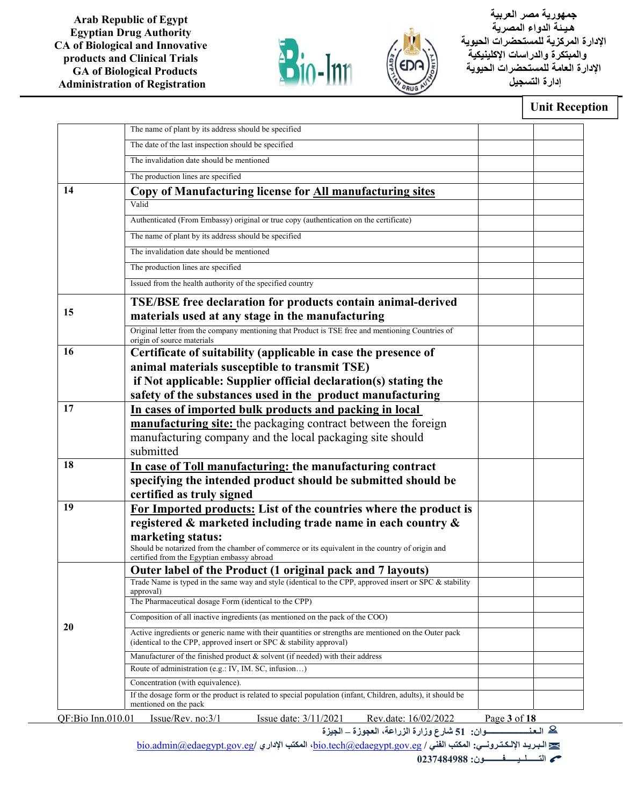



 **جمهورية مصر العربية هـيـ ئة الدواء المصرية الإدارة المركزية للمستحضرات الحيوية والمبتكرة والدراسات الإكلينيكية الإدارة العامة للمستحضرات الحيوية إدارة التسجيل**

## **Unit Reception**

|                   | The name of plant by its address should be specified                                                                                                                         |              |  |
|-------------------|------------------------------------------------------------------------------------------------------------------------------------------------------------------------------|--------------|--|
|                   | The date of the last inspection should be specified                                                                                                                          |              |  |
|                   | The invalidation date should be mentioned                                                                                                                                    |              |  |
|                   | The production lines are specified                                                                                                                                           |              |  |
| 14                | Copy of Manufacturing license for All manufacturing sites                                                                                                                    |              |  |
|                   | Valid                                                                                                                                                                        |              |  |
|                   | Authenticated (From Embassy) original or true copy (authentication on the certificate)                                                                                       |              |  |
|                   | The name of plant by its address should be specified                                                                                                                         |              |  |
|                   | The invalidation date should be mentioned                                                                                                                                    |              |  |
|                   | The production lines are specified                                                                                                                                           |              |  |
|                   | Issued from the health authority of the specified country                                                                                                                    |              |  |
| 15                | <b>TSE/BSE</b> free declaration for products contain animal-derived<br>materials used at any stage in the manufacturing                                                      |              |  |
|                   | Original letter from the company mentioning that Product is TSE free and mentioning Countries of<br>origin of source materials                                               |              |  |
| 16                | Certificate of suitability (applicable in case the presence of<br>animal materials susceptible to transmit TSE)                                                              |              |  |
|                   | if Not applicable: Supplier official declaration(s) stating the<br>safety of the substances used in the product manufacturing                                                |              |  |
| 17                | In cases of imported bulk products and packing in local                                                                                                                      |              |  |
|                   | <b>manufacturing site:</b> the packaging contract between the foreign                                                                                                        |              |  |
|                   | manufacturing company and the local packaging site should                                                                                                                    |              |  |
|                   | submitted                                                                                                                                                                    |              |  |
| 18                | In case of Toll manufacturing: the manufacturing contract                                                                                                                    |              |  |
|                   | specifying the intended product should be submitted should be                                                                                                                |              |  |
|                   | certified as truly signed                                                                                                                                                    |              |  |
| 19                | For Imported products: List of the countries where the product is                                                                                                            |              |  |
|                   | registered & marketed including trade name in each country &                                                                                                                 |              |  |
|                   | marketing status:<br>Should be notarized from the chamber of commerce or its equivalent in the country of origin and<br>certified from the Egyptian embassy abroad           |              |  |
|                   | Outer label of the Product (1 original pack and 7 layouts)                                                                                                                   |              |  |
|                   | Trade Name is typed in the same way and style (identical to the CPP, approved insert or SPC & stability                                                                      |              |  |
|                   | approval)<br>The Pharmaceutical dosage Form (identical to the CPP)                                                                                                           |              |  |
|                   | Composition of all inactive ingredients (as mentioned on the pack of the COO)                                                                                                |              |  |
| 20                | Active ingredients or generic name with their quantities or strengths are mentioned on the Outer pack<br>(identical to the CPP, approved insert or SPC & stability approval) |              |  |
|                   | Manufacturer of the finished product & solvent (if needed) with their address                                                                                                |              |  |
|                   | Route of administration (e.g.: IV, IM. SC, infusion)                                                                                                                         |              |  |
|                   | Concentration (with equivalence).                                                                                                                                            |              |  |
|                   | If the dosage form or the product is related to special population (infant, Children, adults), it should be<br>mentioned on the pack                                         |              |  |
| QF:Bio Inn.010.01 | Issue/Rev. no: $3/1$<br>Issue date: 3/11/2021<br>Rev.date: 16/02/2022                                                                                                        | Page 3 of 18 |  |

**الـعـنـــــــــــــــــــــوان: 51 شارع وزارة الزراعة، العجوزة – الجيزة** 

bio.admin@edaegypt.gov.eg**/ الإداري المكتب ،**bio.tech@edaegypt.gov.eg **/ الفني المكتب :الإلـكـتـرونــي الـبـريـد**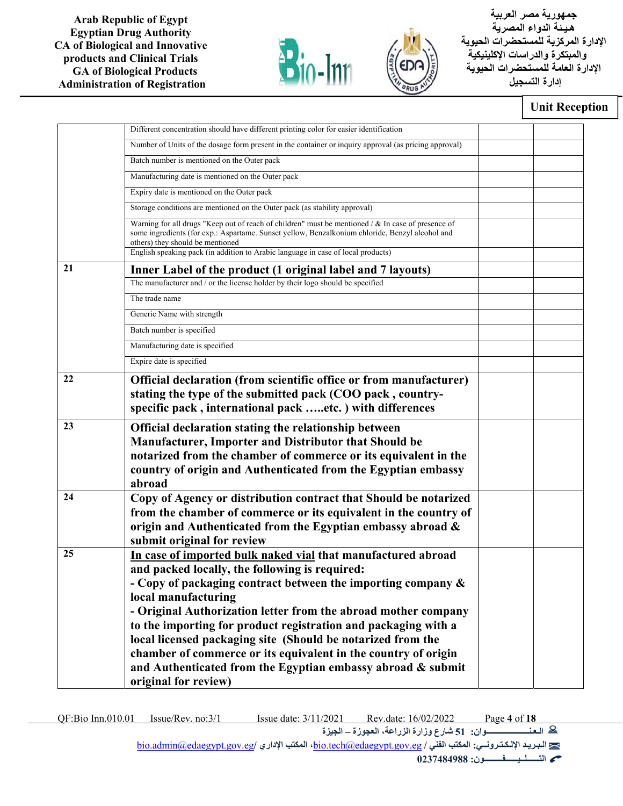



 **جمهورية مصر العربية هـيـ ئة الدواء المصرية الإدارة المركزية للمستحضرات الحيوية والمبتكرة والدراسات الإكلينيكية الإدارة العامة للمستحضرات الحيوية إدارة التسجيل**

#### **Unit Reception**

|    | Different concentration should have different printing color for easier identification                                                                                                                                                    |  |
|----|-------------------------------------------------------------------------------------------------------------------------------------------------------------------------------------------------------------------------------------------|--|
|    |                                                                                                                                                                                                                                           |  |
|    | Number of Units of the dosage form present in the container or inquiry approval (as pricing approval)                                                                                                                                     |  |
|    | Batch number is mentioned on the Outer pack                                                                                                                                                                                               |  |
|    | Manufacturing date is mentioned on the Outer pack                                                                                                                                                                                         |  |
|    | Expiry date is mentioned on the Outer pack                                                                                                                                                                                                |  |
|    | Storage conditions are mentioned on the Outer pack (as stability approval)                                                                                                                                                                |  |
|    | Warning for all drugs "Keep out of reach of children" must be mentioned / & In case of presence of<br>some ingredients (for exp.: Aspartame. Sunset yellow, Benzalkonium chloride, Benzyl alcohol and<br>others) they should be mentioned |  |
|    | English speaking pack (in addition to Arabic language in case of local products)                                                                                                                                                          |  |
| 21 | Inner Label of the product (1 original label and 7 layouts)                                                                                                                                                                               |  |
|    | The manufacturer and / or the license holder by their logo should be specified                                                                                                                                                            |  |
|    | The trade name                                                                                                                                                                                                                            |  |
|    | Generic Name with strength                                                                                                                                                                                                                |  |
|    | Batch number is specified                                                                                                                                                                                                                 |  |
|    | Manufacturing date is specified                                                                                                                                                                                                           |  |
|    | Expire date is specified                                                                                                                                                                                                                  |  |
| 22 | Official declaration (from scientific office or from manufacturer)                                                                                                                                                                        |  |
|    | stating the type of the submitted pack (COO pack, country-                                                                                                                                                                                |  |
|    | specific pack, international pack etc.) with differences                                                                                                                                                                                  |  |
| 23 | Official declaration stating the relationship between                                                                                                                                                                                     |  |
|    | Manufacturer, Importer and Distributor that Should be                                                                                                                                                                                     |  |
|    | notarized from the chamber of commerce or its equivalent in the                                                                                                                                                                           |  |
|    | country of origin and Authenticated from the Egyptian embassy                                                                                                                                                                             |  |
|    | abroad                                                                                                                                                                                                                                    |  |
| 24 | Copy of Agency or distribution contract that Should be notarized                                                                                                                                                                          |  |
|    | from the chamber of commerce or its equivalent in the country of                                                                                                                                                                          |  |
|    | origin and Authenticated from the Egyptian embassy abroad &                                                                                                                                                                               |  |
|    | submit original for review                                                                                                                                                                                                                |  |
| 25 | In case of imported bulk naked vial that manufactured abroad                                                                                                                                                                              |  |
|    | and packed locally, the following is required:                                                                                                                                                                                            |  |
|    | - Copy of packaging contract between the importing company $\&$                                                                                                                                                                           |  |
|    | local manufacturing                                                                                                                                                                                                                       |  |
|    | - Original Authorization letter from the abroad mother company                                                                                                                                                                            |  |
|    | to the importing for product registration and packaging with a                                                                                                                                                                            |  |
|    | local licensed packaging site (Should be notarized from the                                                                                                                                                                               |  |
|    | chamber of commerce or its equivalent in the country of origin                                                                                                                                                                            |  |
|    | and Authenticated from the Egyptian embassy abroad & submit                                                                                                                                                                               |  |
|    | original for review)                                                                                                                                                                                                                      |  |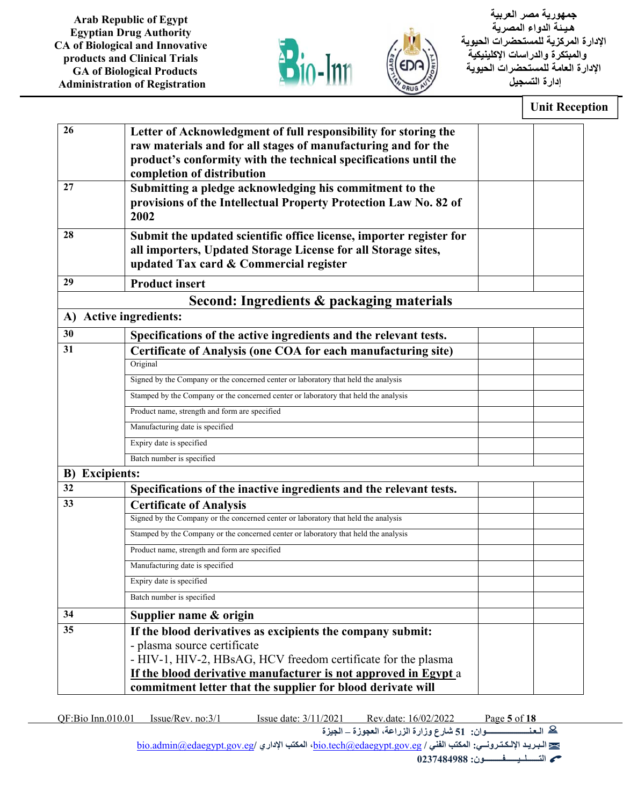



 **جمهورية مصر العربية هـيـ ئة الدواء المصرية الإدارة المركزية للمستحضرات الحيوية والمبتكرة والدراسات الإكلينيكية الإدارة العامة للمستحضرات الحيوية إدارة التسجيل**

| 26                    | Letter of Acknowledgment of full responsibility for storing the<br>raw materials and for all stages of manufacturing and for the<br>product's conformity with the technical specifications until the<br>completion of distribution |  |
|-----------------------|------------------------------------------------------------------------------------------------------------------------------------------------------------------------------------------------------------------------------------|--|
| 27                    | Submitting a pledge acknowledging his commitment to the<br>provisions of the Intellectual Property Protection Law No. 82 of<br>2002                                                                                                |  |
| 28                    | Submit the updated scientific office license, importer register for<br>all importers, Updated Storage License for all Storage sites,<br>updated Tax card & Commercial register                                                     |  |
| 29                    | <b>Product insert</b>                                                                                                                                                                                                              |  |
|                       | Second: Ingredients & packaging materials                                                                                                                                                                                          |  |
| A)                    | <b>Active ingredients:</b>                                                                                                                                                                                                         |  |
| 30                    | Specifications of the active ingredients and the relevant tests.                                                                                                                                                                   |  |
| 31                    | Certificate of Analysis (one COA for each manufacturing site)                                                                                                                                                                      |  |
|                       | Original                                                                                                                                                                                                                           |  |
|                       | Signed by the Company or the concerned center or laboratory that held the analysis                                                                                                                                                 |  |
|                       | Stamped by the Company or the concerned center or laboratory that held the analysis                                                                                                                                                |  |
|                       | Product name, strength and form are specified                                                                                                                                                                                      |  |
|                       | Manufacturing date is specified                                                                                                                                                                                                    |  |
|                       | Expiry date is specified                                                                                                                                                                                                           |  |
|                       | Batch number is specified                                                                                                                                                                                                          |  |
| <b>B)</b> Excipients: |                                                                                                                                                                                                                                    |  |
| 32                    | Specifications of the inactive ingredients and the relevant tests.                                                                                                                                                                 |  |
| 33                    | <b>Certificate of Analysis</b><br>Signed by the Company or the concerned center or laboratory that held the analysis                                                                                                               |  |
|                       |                                                                                                                                                                                                                                    |  |
|                       | Stamped by the Company or the concerned center or laboratory that held the analysis                                                                                                                                                |  |
|                       | Product name, strength and form are specified                                                                                                                                                                                      |  |
|                       | Manufacturing date is specified                                                                                                                                                                                                    |  |
|                       | Expiry date is specified                                                                                                                                                                                                           |  |
|                       | Batch number is specified                                                                                                                                                                                                          |  |
| 34                    | Supplier name & origin                                                                                                                                                                                                             |  |
| 35                    | If the blood derivatives as excipients the company submit:<br>- plasma source certificate<br>- HIV-1, HIV-2, HBsAG, HCV freedom certificate for the plasma                                                                         |  |
|                       | If the blood derivative manufacturer is not approved in Egypt a<br>commitment letter that the supplier for blood derivate will                                                                                                     |  |

QF:Bio Inn.010.01 Issue/Rev. no:3/1 Issue date: 3/11/2021 Rev.date: 16/02/2022 Page **5** of **18**

**الـعـنـــــــــــــــــــــوان: 51 شارع وزارة الزراعة، العجوزة – الجيزة** 

bio.admin@edaegypt.gov.eg**/ الإداري المكتب ،**bio.tech@edaegypt.gov.eg **/ الفني المكتب :الإلـكـتـرونــي الـبـريـد**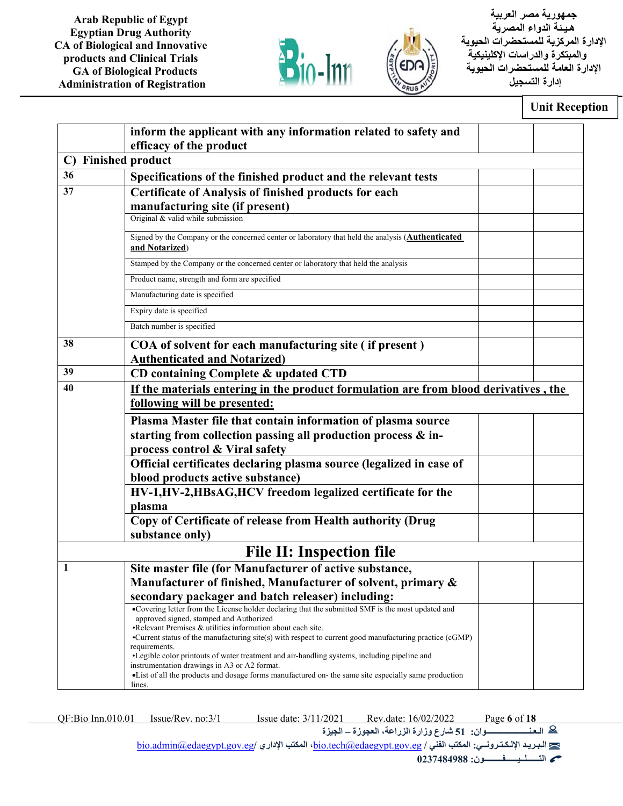



 **جمهورية مصر العربية هـيـ ئة الدواء المصرية الإدارة المركزية للمستحضرات الحيوية والمبتكرة والدراسات الإكلينيكية الإدارة العامة للمستحضرات الحيوية إدارة التسجيل**

### **Unit Reception**

|              | inform the applicant with any information related to safety and                                                                                      |  |
|--------------|------------------------------------------------------------------------------------------------------------------------------------------------------|--|
|              | efficacy of the product                                                                                                                              |  |
| $\mathbf{C}$ | <b>Finished product</b>                                                                                                                              |  |
| 36           | Specifications of the finished product and the relevant tests                                                                                        |  |
| 37           | <b>Certificate of Analysis of finished products for each</b>                                                                                         |  |
|              | manufacturing site (if present)                                                                                                                      |  |
|              | Original & valid while submission                                                                                                                    |  |
|              | Signed by the Company or the concerned center or laboratory that held the analysis (Authenticated<br>and Notarized)                                  |  |
|              | Stamped by the Company or the concerned center or laboratory that held the analysis                                                                  |  |
|              | Product name, strength and form are specified                                                                                                        |  |
|              | Manufacturing date is specified                                                                                                                      |  |
|              | Expiry date is specified                                                                                                                             |  |
|              | Batch number is specified                                                                                                                            |  |
| 38           | COA of solvent for each manufacturing site (if present)                                                                                              |  |
|              | <b>Authenticated and Notarized)</b>                                                                                                                  |  |
| 39           | CD containing Complete & updated CTD                                                                                                                 |  |
| 40           | If the materials entering in the product formulation are from blood derivatives, the                                                                 |  |
|              | following will be presented:                                                                                                                         |  |
|              | Plasma Master file that contain information of plasma source                                                                                         |  |
|              | starting from collection passing all production process & in-                                                                                        |  |
|              | process control & Viral safety                                                                                                                       |  |
|              | Official certificates declaring plasma source (legalized in case of                                                                                  |  |
|              | blood products active substance)                                                                                                                     |  |
|              | HV-1,HV-2,HBsAG,HCV freedom legalized certificate for the                                                                                            |  |
|              | plasma                                                                                                                                               |  |
|              | Copy of Certificate of release from Health authority (Drug                                                                                           |  |
|              | substance only)                                                                                                                                      |  |
|              | <b>File II: Inspection file</b>                                                                                                                      |  |
| 1            | Site master file (for Manufacturer of active substance,                                                                                              |  |
|              | Manufacturer of finished, Manufacturer of solvent, primary &                                                                                         |  |
|              | secondary packager and batch releaser) including:                                                                                                    |  |
|              | •Covering letter from the License holder declaring that the submitted SMF is the most updated and<br>approved signed, stamped and Authorized         |  |
|              | •Relevant Premises & utilities information about each site.                                                                                          |  |
|              | •Current status of the manufacturing site(s) with respect to current good manufacturing practice (cGMP)<br>requirements.                             |  |
|              | •Legible color printouts of water treatment and air-handling systems, including pipeline and                                                         |  |
|              | instrumentation drawings in A3 or A2 format.<br>• List of all the products and dosage forms manufactured on-the same site especially same production |  |
|              | lines.                                                                                                                                               |  |
|              |                                                                                                                                                      |  |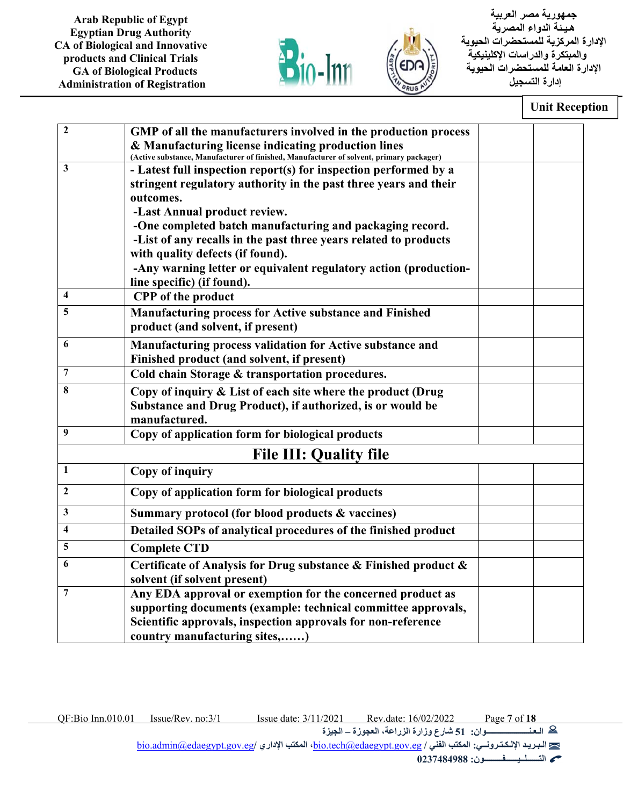



 **جمهورية مصر العربية هـيـ ئة الدواء المصرية الإدارة المركزية للمستحضرات الحيوية والمبتكرة والدراسات الإكلينيكية الإدارة العامة للمستحضرات الحيوية إدارة التسجيل**

#### **Unit Reception**

| $\overline{2}$ |                                                                                                                                                             |  |
|----------------|-------------------------------------------------------------------------------------------------------------------------------------------------------------|--|
|                | GMP of all the manufacturers involved in the production process                                                                                             |  |
|                | & Manufacturing license indicating production lines                                                                                                         |  |
| 3              | (Active substance, Manufacturer of finished, Manufacturer of solvent, primary packager)<br>- Latest full inspection report(s) for inspection performed by a |  |
|                |                                                                                                                                                             |  |
|                | stringent regulatory authority in the past three years and their<br>outcomes.                                                                               |  |
|                |                                                                                                                                                             |  |
|                | -Last Annual product review.                                                                                                                                |  |
|                | -One completed batch manufacturing and packaging record.                                                                                                    |  |
|                | -List of any recalls in the past three years related to products                                                                                            |  |
|                | with quality defects (if found).                                                                                                                            |  |
|                | -Any warning letter or equivalent regulatory action (production-                                                                                            |  |
| 4              | line specific) (if found).                                                                                                                                  |  |
|                | <b>CPP</b> of the product                                                                                                                                   |  |
| 5              | Manufacturing process for Active substance and Finished                                                                                                     |  |
|                | product (and solvent, if present)                                                                                                                           |  |
| 6              | Manufacturing process validation for Active substance and                                                                                                   |  |
|                | Finished product (and solvent, if present)                                                                                                                  |  |
| 7              | Cold chain Storage & transportation procedures.                                                                                                             |  |
| 8              | Copy of inquiry & List of each site where the product (Drug                                                                                                 |  |
|                | Substance and Drug Product), if authorized, is or would be                                                                                                  |  |
|                | manufactured.                                                                                                                                               |  |
| 9              | Copy of application form for biological products                                                                                                            |  |
|                | <b>File III: Quality file</b>                                                                                                                               |  |
| 1              | <b>Copy of inquiry</b>                                                                                                                                      |  |
| $\mathbf{2}$   | Copy of application form for biological products                                                                                                            |  |
| 3              | Summary protocol (for blood products & vaccines)                                                                                                            |  |
| 4              | Detailed SOPs of analytical procedures of the finished product                                                                                              |  |
| 5              | <b>Complete CTD</b>                                                                                                                                         |  |
| 6              | Certificate of Analysis for Drug substance & Finished product &                                                                                             |  |
|                | solvent (if solvent present)                                                                                                                                |  |
| 7              | Any EDA approval or exemption for the concerned product as                                                                                                  |  |
|                | supporting documents (example: technical committee approvals,                                                                                               |  |
|                | Scientific approvals, inspection approvals for non-reference                                                                                                |  |
|                | country manufacturing sites,)                                                                                                                               |  |
|                |                                                                                                                                                             |  |

QF:Bio Inn.010.01 Issue/Rev. no:3/1 Issue date: 3/11/2021 Rev.date: 16/02/2022 Page **7** of **18 الـعـنـــــــــــــــــــــوان: 51 شارع وزارة الزراعة، العجوزة – الجيزة** bio.admin@edaegypt.gov.eg**/ الإداري المكتب ،**bio.tech@edaegypt.gov.eg **/ الفني المكتب :الإلـكـتـرونــي الـبـريـد**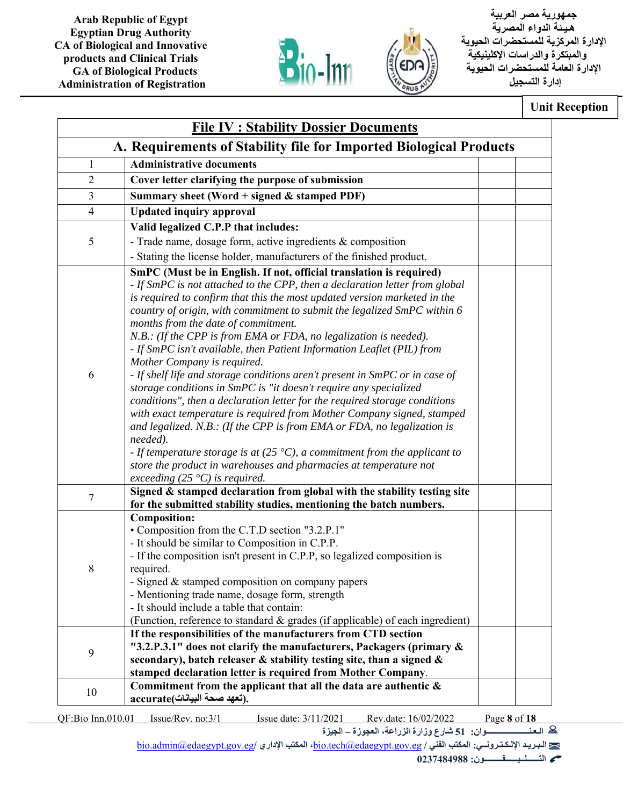



 **جمهورية مصر العربية هـيـ ئة الدواء المصرية الإدارة المركزية للمستحضرات الحيوية والمبتكرة والدراسات الإكلينيكية الإدارة العامة للمستحضرات الحيوية إدارة التسجيل**

**Unit Reception** 

| 1<br>$\overline{2}$<br>3<br>$\overline{4}$<br>5<br>6<br>needed).<br>$\tau$                                                                                                                                                                           | A. Requirements of Stability file for Imported Biological Products<br><b>Administrative documents</b><br>Cover letter clarifying the purpose of submission<br>Summary sheet (Word + signed $&$ stamped PDF)<br><b>Updated inquiry approval</b><br>Valid legalized C.P.P that includes:<br>- Trade name, dosage form, active ingredients $&$ composition<br>- Stating the license holder, manufacturers of the finished product.<br>SmPC (Must be in English. If not, official translation is required)<br>- If SmPC is not attached to the CPP, then a declaration letter from global<br>is required to confirm that this the most updated version marketed in the<br>country of origin, with commitment to submit the legalized SmPC within 6<br>months from the date of commitment.<br>N.B.: (If the CPP is from EMA or FDA, no legalization is needed).<br>- If SmPC isn't available, then Patient Information Leaflet (PIL) from<br>Mother Company is required.<br>- If shelf life and storage conditions aren't present in SmPC or in case of<br>storage conditions in SmPC is "it doesn't require any specialized<br>conditions", then a declaration letter for the required storage conditions<br>with exact temperature is required from Mother Company signed, stamped |  |
|------------------------------------------------------------------------------------------------------------------------------------------------------------------------------------------------------------------------------------------------------|---------------------------------------------------------------------------------------------------------------------------------------------------------------------------------------------------------------------------------------------------------------------------------------------------------------------------------------------------------------------------------------------------------------------------------------------------------------------------------------------------------------------------------------------------------------------------------------------------------------------------------------------------------------------------------------------------------------------------------------------------------------------------------------------------------------------------------------------------------------------------------------------------------------------------------------------------------------------------------------------------------------------------------------------------------------------------------------------------------------------------------------------------------------------------------------------------------------------------------------------------------------------------------|--|
|                                                                                                                                                                                                                                                      |                                                                                                                                                                                                                                                                                                                                                                                                                                                                                                                                                                                                                                                                                                                                                                                                                                                                                                                                                                                                                                                                                                                                                                                                                                                                                 |  |
|                                                                                                                                                                                                                                                      |                                                                                                                                                                                                                                                                                                                                                                                                                                                                                                                                                                                                                                                                                                                                                                                                                                                                                                                                                                                                                                                                                                                                                                                                                                                                                 |  |
|                                                                                                                                                                                                                                                      |                                                                                                                                                                                                                                                                                                                                                                                                                                                                                                                                                                                                                                                                                                                                                                                                                                                                                                                                                                                                                                                                                                                                                                                                                                                                                 |  |
|                                                                                                                                                                                                                                                      |                                                                                                                                                                                                                                                                                                                                                                                                                                                                                                                                                                                                                                                                                                                                                                                                                                                                                                                                                                                                                                                                                                                                                                                                                                                                                 |  |
|                                                                                                                                                                                                                                                      |                                                                                                                                                                                                                                                                                                                                                                                                                                                                                                                                                                                                                                                                                                                                                                                                                                                                                                                                                                                                                                                                                                                                                                                                                                                                                 |  |
|                                                                                                                                                                                                                                                      |                                                                                                                                                                                                                                                                                                                                                                                                                                                                                                                                                                                                                                                                                                                                                                                                                                                                                                                                                                                                                                                                                                                                                                                                                                                                                 |  |
|                                                                                                                                                                                                                                                      |                                                                                                                                                                                                                                                                                                                                                                                                                                                                                                                                                                                                                                                                                                                                                                                                                                                                                                                                                                                                                                                                                                                                                                                                                                                                                 |  |
|                                                                                                                                                                                                                                                      |                                                                                                                                                                                                                                                                                                                                                                                                                                                                                                                                                                                                                                                                                                                                                                                                                                                                                                                                                                                                                                                                                                                                                                                                                                                                                 |  |
|                                                                                                                                                                                                                                                      | and legalized. N.B.: (If the CPP is from EMA or FDA, no legalization is<br>- If temperature storage is at (25 $^{\circ}$ C), a commitment from the applicant to<br>store the product in warehouses and pharmacies at temperature not<br>exceeding $(25 \degree C)$ is required.                                                                                                                                                                                                                                                                                                                                                                                                                                                                                                                                                                                                                                                                                                                                                                                                                                                                                                                                                                                                 |  |
|                                                                                                                                                                                                                                                      | Signed & stamped declaration from global with the stability testing site<br>for the submitted stability studies, mentioning the batch numbers.                                                                                                                                                                                                                                                                                                                                                                                                                                                                                                                                                                                                                                                                                                                                                                                                                                                                                                                                                                                                                                                                                                                                  |  |
| 8                                                                                                                                                                                                                                                    | <b>Composition:</b><br>• Composition from the C.T.D section "3.2.P.1"<br>- It should be similar to Composition in C.P.P.<br>- If the composition isn't present in C.P.P, so legalized composition is<br>required.<br>- Signed & stamped composition on company papers<br>- Mentioning trade name, dosage form, strength<br>- It should include a table that contain:<br>(Function, reference to standard & grades (if applicable) of each ingredient)                                                                                                                                                                                                                                                                                                                                                                                                                                                                                                                                                                                                                                                                                                                                                                                                                           |  |
| 9<br>secondary), batch releaser & stability testing site, than a signed &<br>stamped declaration letter is required from Mother Company.<br>Commitment from the applicant that all the data are authentic $\&$<br>10<br>accurate(تعهد صحة البيانات). | If the responsibilities of the manufacturers from CTD section<br>"3.2.P.3.1" does not clarify the manufacturers, Packagers (primary &                                                                                                                                                                                                                                                                                                                                                                                                                                                                                                                                                                                                                                                                                                                                                                                                                                                                                                                                                                                                                                                                                                                                           |  |

QF:Bio Inn.010.01 Issue/Rev. no:3/1 Issue date: 3/11/2021 Rev.date: 16/02/2022 Page **8** of **18 الـعـنـــــــــــــــــــــوان: 51 شارع وزارة الزراعة، العجوزة – الجيزة** 

bio.admin@edaegypt.gov.eg**/ الإداري المكتب ،**bio.tech@edaegypt.gov.eg **/ الفني المكتب :الإلـكـتـرونــي الـبـريـد**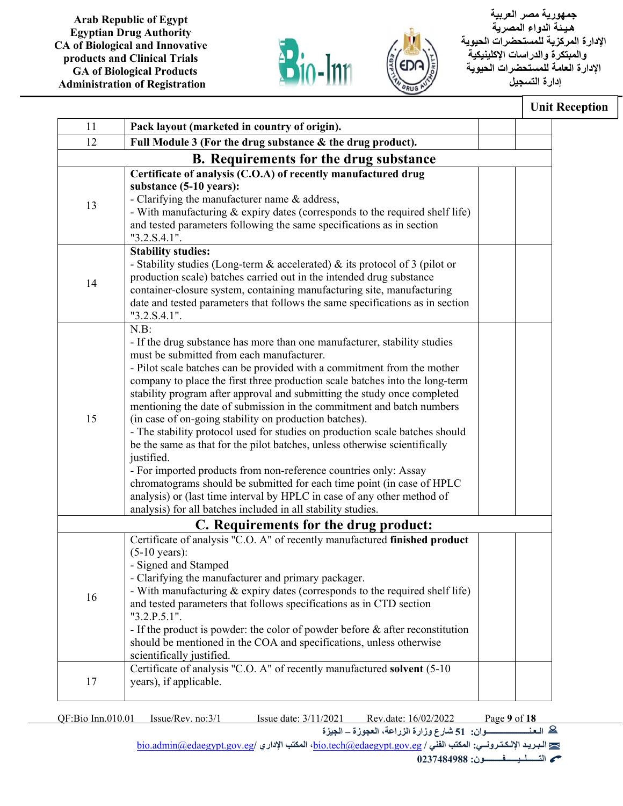



 **جمهورية مصر العربية هـيـ ئة الدواء المصرية الإدارة المركزية للمستحضرات الحيوية والمبتكرة والدراسات الإكلينيكية الإدارة العامة للمستحضرات الحيوية إدارة التسجيل**

## **Unit Reception**

| 11 | Pack layout (marketed in country of origin).                                                                                                                                                                                                                                                                                                                                                                                                                                                                                                                                                                                                                                                                                                                                                                                                                                                                                                                                     |  |
|----|----------------------------------------------------------------------------------------------------------------------------------------------------------------------------------------------------------------------------------------------------------------------------------------------------------------------------------------------------------------------------------------------------------------------------------------------------------------------------------------------------------------------------------------------------------------------------------------------------------------------------------------------------------------------------------------------------------------------------------------------------------------------------------------------------------------------------------------------------------------------------------------------------------------------------------------------------------------------------------|--|
| 12 | Full Module 3 (For the drug substance & the drug product).                                                                                                                                                                                                                                                                                                                                                                                                                                                                                                                                                                                                                                                                                                                                                                                                                                                                                                                       |  |
|    | <b>B.</b> Requirements for the drug substance                                                                                                                                                                                                                                                                                                                                                                                                                                                                                                                                                                                                                                                                                                                                                                                                                                                                                                                                    |  |
| 13 | Certificate of analysis (C.O.A) of recently manufactured drug<br>substance (5-10 years):<br>- Clarifying the manufacturer name & address,<br>- With manufacturing & expiry dates (corresponds to the required shelf life)<br>and tested parameters following the same specifications as in section<br>"3.2.S.4.1".                                                                                                                                                                                                                                                                                                                                                                                                                                                                                                                                                                                                                                                               |  |
| 14 | <b>Stability studies:</b><br>- Stability studies (Long-term $\&$ accelerated) $\&$ its protocol of 3 (pilot or<br>production scale) batches carried out in the intended drug substance<br>container-closure system, containing manufacturing site, manufacturing<br>date and tested parameters that follows the same specifications as in section<br>"3.2.S.4.1".                                                                                                                                                                                                                                                                                                                                                                                                                                                                                                                                                                                                                |  |
| 15 | $N.B$ :<br>- If the drug substance has more than one manufacturer, stability studies<br>must be submitted from each manufacturer.<br>- Pilot scale batches can be provided with a commitment from the mother<br>company to place the first three production scale batches into the long-term<br>stability program after approval and submitting the study once completed<br>mentioning the date of submission in the commitment and batch numbers<br>(in case of on-going stability on production batches).<br>- The stability protocol used for studies on production scale batches should<br>be the same as that for the pilot batches, unless otherwise scientifically<br>justified.<br>- For imported products from non-reference countries only: Assay<br>chromatograms should be submitted for each time point (in case of HPLC<br>analysis) or (last time interval by HPLC in case of any other method of<br>analysis) for all batches included in all stability studies. |  |
|    | C. Requirements for the drug product:                                                                                                                                                                                                                                                                                                                                                                                                                                                                                                                                                                                                                                                                                                                                                                                                                                                                                                                                            |  |
| 16 | Certificate of analysis "C.O. A" of recently manufactured finished product<br>$(5-10 \text{ years})$ :<br>- Signed and Stamped<br>- Clarifying the manufacturer and primary packager.<br>- With manufacturing & expiry dates (corresponds to the required shelf life)<br>and tested parameters that follows specifications as in CTD section<br>"3.2.P.5.1".<br>- If the product is powder: the color of powder before $\&$ after reconstitution<br>should be mentioned in the COA and specifications, unless otherwise<br>scientifically justified.<br>Certificate of analysis "C.O. A" of recently manufactured solvent (5-10                                                                                                                                                                                                                                                                                                                                                  |  |
| 17 | years), if applicable.                                                                                                                                                                                                                                                                                                                                                                                                                                                                                                                                                                                                                                                                                                                                                                                                                                                                                                                                                           |  |

QF:Bio Inn.010.01 Issue/Rev. no:3/1 Issue date: 3/11/2021 Rev.date: 16/02/2022 Page **9** of **18 الـعـنـــــــــــــــــــــوان: 51 شارع وزارة الزراعة، العجوزة – الجيزة**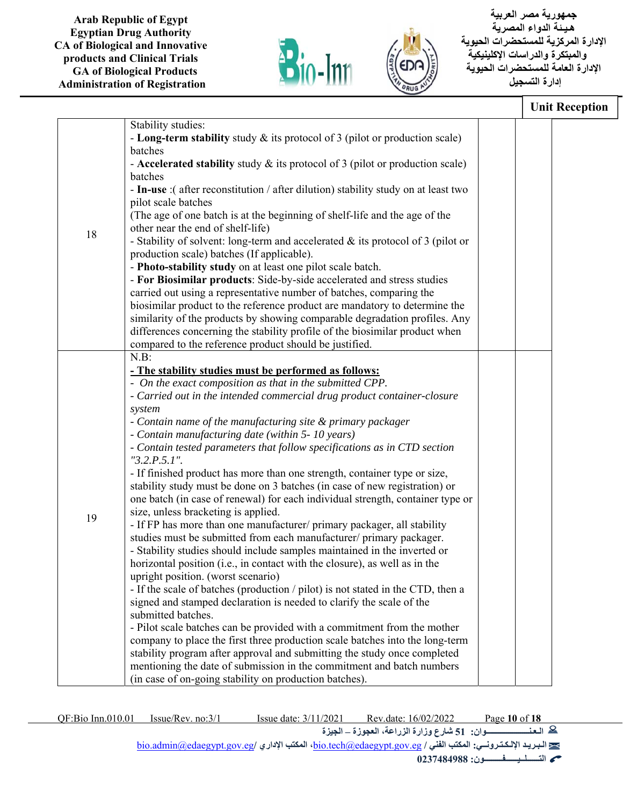



 **جمهورية مصر العربية هـيـ ئة الدواء المصرية الإدارة المركزية للمستحضرات الحيوية والمبتكرة والدراسات الإكلينيكية الإدارة العامة للمستحضرات الحيوية إدارة التسجيل**

|    |                                                                                                                                                                                                                                                                                                                                                                                                                                                                                                                                                         | <b>Unit Reception</b> |
|----|---------------------------------------------------------------------------------------------------------------------------------------------------------------------------------------------------------------------------------------------------------------------------------------------------------------------------------------------------------------------------------------------------------------------------------------------------------------------------------------------------------------------------------------------------------|-----------------------|
|    | Stability studies:                                                                                                                                                                                                                                                                                                                                                                                                                                                                                                                                      |                       |
|    | - Long-term stability study $\&$ its protocol of 3 (pilot or production scale)                                                                                                                                                                                                                                                                                                                                                                                                                                                                          |                       |
|    | batches                                                                                                                                                                                                                                                                                                                                                                                                                                                                                                                                                 |                       |
|    | - Accelerated stability study $\&$ its protocol of 3 (pilot or production scale)                                                                                                                                                                                                                                                                                                                                                                                                                                                                        |                       |
|    | batches                                                                                                                                                                                                                                                                                                                                                                                                                                                                                                                                                 |                       |
|    | - In-use :( after reconstitution / after dilution) stability study on at least two                                                                                                                                                                                                                                                                                                                                                                                                                                                                      |                       |
|    | pilot scale batches                                                                                                                                                                                                                                                                                                                                                                                                                                                                                                                                     |                       |
|    | (The age of one batch is at the beginning of shelf-life and the age of the                                                                                                                                                                                                                                                                                                                                                                                                                                                                              |                       |
| 18 | other near the end of shelf-life)                                                                                                                                                                                                                                                                                                                                                                                                                                                                                                                       |                       |
|    | - Stability of solvent: long-term and accelerated & its protocol of 3 (pilot or                                                                                                                                                                                                                                                                                                                                                                                                                                                                         |                       |
|    | production scale) batches (If applicable).                                                                                                                                                                                                                                                                                                                                                                                                                                                                                                              |                       |
|    | - Photo-stability study on at least one pilot scale batch.                                                                                                                                                                                                                                                                                                                                                                                                                                                                                              |                       |
|    | - For Biosimilar products: Side-by-side accelerated and stress studies                                                                                                                                                                                                                                                                                                                                                                                                                                                                                  |                       |
|    | carried out using a representative number of batches, comparing the                                                                                                                                                                                                                                                                                                                                                                                                                                                                                     |                       |
|    | biosimilar product to the reference product are mandatory to determine the                                                                                                                                                                                                                                                                                                                                                                                                                                                                              |                       |
|    | similarity of the products by showing comparable degradation profiles. Any                                                                                                                                                                                                                                                                                                                                                                                                                                                                              |                       |
|    | differences concerning the stability profile of the biosimilar product when                                                                                                                                                                                                                                                                                                                                                                                                                                                                             |                       |
|    | compared to the reference product should be justified.                                                                                                                                                                                                                                                                                                                                                                                                                                                                                                  |                       |
|    | N.B:                                                                                                                                                                                                                                                                                                                                                                                                                                                                                                                                                    |                       |
|    | - The stability studies must be performed as follows:                                                                                                                                                                                                                                                                                                                                                                                                                                                                                                   |                       |
|    | - On the exact composition as that in the submitted CPP.                                                                                                                                                                                                                                                                                                                                                                                                                                                                                                |                       |
|    | - Carried out in the intended commercial drug product container-closure                                                                                                                                                                                                                                                                                                                                                                                                                                                                                 |                       |
|    | system                                                                                                                                                                                                                                                                                                                                                                                                                                                                                                                                                  |                       |
|    | - Contain name of the manufacturing site & primary packager                                                                                                                                                                                                                                                                                                                                                                                                                                                                                             |                       |
|    | - Contain manufacturing date (within 5- 10 years)                                                                                                                                                                                                                                                                                                                                                                                                                                                                                                       |                       |
|    | - Contain tested parameters that follow specifications as in CTD section                                                                                                                                                                                                                                                                                                                                                                                                                                                                                |                       |
|    | $"3.2.P.5.1"$ .                                                                                                                                                                                                                                                                                                                                                                                                                                                                                                                                         |                       |
|    | - If finished product has more than one strength, container type or size,                                                                                                                                                                                                                                                                                                                                                                                                                                                                               |                       |
|    | stability study must be done on 3 batches (in case of new registration) or                                                                                                                                                                                                                                                                                                                                                                                                                                                                              |                       |
|    | one batch (in case of renewal) for each individual strength, container type or                                                                                                                                                                                                                                                                                                                                                                                                                                                                          |                       |
| 19 | size, unless bracketing is applied.                                                                                                                                                                                                                                                                                                                                                                                                                                                                                                                     |                       |
|    | - If FP has more than one manufacturer/ primary packager, all stability                                                                                                                                                                                                                                                                                                                                                                                                                                                                                 |                       |
|    | studies must be submitted from each manufacturer/ primary packager.                                                                                                                                                                                                                                                                                                                                                                                                                                                                                     |                       |
|    | - Stability studies should include samples maintained in the inverted or<br>horizontal position (i.e., in contact with the closure), as well as in the                                                                                                                                                                                                                                                                                                                                                                                                  |                       |
|    | upright position. (worst scenario)                                                                                                                                                                                                                                                                                                                                                                                                                                                                                                                      |                       |
|    |                                                                                                                                                                                                                                                                                                                                                                                                                                                                                                                                                         |                       |
|    |                                                                                                                                                                                                                                                                                                                                                                                                                                                                                                                                                         |                       |
|    |                                                                                                                                                                                                                                                                                                                                                                                                                                                                                                                                                         |                       |
|    |                                                                                                                                                                                                                                                                                                                                                                                                                                                                                                                                                         |                       |
|    |                                                                                                                                                                                                                                                                                                                                                                                                                                                                                                                                                         |                       |
|    |                                                                                                                                                                                                                                                                                                                                                                                                                                                                                                                                                         |                       |
|    |                                                                                                                                                                                                                                                                                                                                                                                                                                                                                                                                                         |                       |
|    |                                                                                                                                                                                                                                                                                                                                                                                                                                                                                                                                                         |                       |
|    | - If the scale of batches (production / pilot) is not stated in the CTD, then a<br>signed and stamped declaration is needed to clarify the scale of the<br>submitted batches.<br>- Pilot scale batches can be provided with a commitment from the mother<br>company to place the first three production scale batches into the long-term<br>stability program after approval and submitting the study once completed<br>mentioning the date of submission in the commitment and batch numbers<br>(in case of on-going stability on production batches). |                       |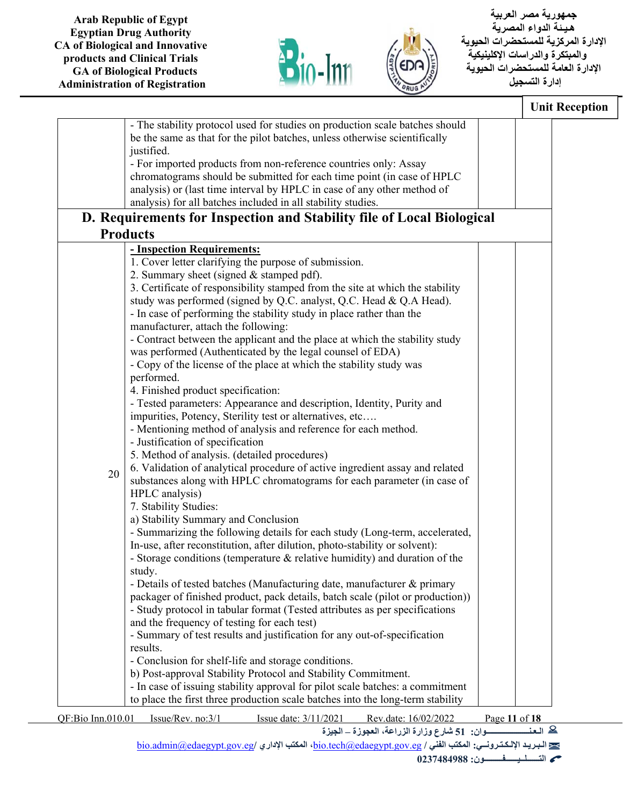



 **جمهورية مصر العربية هـيـ ئة الدواء المصرية الإدارة المركزية للمستحضرات الحيوية والمبتكرة والدراسات الإكلينيكية الإدارة العامة للمستحضرات الحيوية إدارة التسجيل**

|                   |                                                                                | <b>Unit Reception</b> |
|-------------------|--------------------------------------------------------------------------------|-----------------------|
|                   | - The stability protocol used for studies on production scale batches should   |                       |
|                   | be the same as that for the pilot batches, unless otherwise scientifically     |                       |
|                   | justified.                                                                     |                       |
|                   |                                                                                |                       |
|                   | - For imported products from non-reference countries only: Assay               |                       |
|                   | chromatograms should be submitted for each time point (in case of HPLC         |                       |
|                   | analysis) or (last time interval by HPLC in case of any other method of        |                       |
|                   | analysis) for all batches included in all stability studies.                   |                       |
|                   | D. Requirements for Inspection and Stability file of Local Biological          |                       |
|                   | <b>Products</b>                                                                |                       |
|                   | - Inspection Requirements:                                                     |                       |
|                   | 1. Cover letter clarifying the purpose of submission.                          |                       |
|                   | 2. Summary sheet (signed & stamped pdf).                                       |                       |
|                   | 3. Certificate of responsibility stamped from the site at which the stability  |                       |
|                   | study was performed (signed by Q.C. analyst, Q.C. Head & Q.A Head).            |                       |
|                   | - In case of performing the stability study in place rather than the           |                       |
|                   | manufacturer, attach the following:                                            |                       |
|                   | - Contract between the applicant and the place at which the stability study    |                       |
|                   | was performed (Authenticated by the legal counsel of EDA)                      |                       |
|                   | - Copy of the license of the place at which the stability study was            |                       |
|                   | performed.                                                                     |                       |
|                   | 4. Finished product specification:                                             |                       |
|                   | - Tested parameters: Appearance and description, Identity, Purity and          |                       |
|                   | impurities, Potency, Sterility test or alternatives, etc                       |                       |
|                   | - Mentioning method of analysis and reference for each method.                 |                       |
|                   | - Justification of specification                                               |                       |
|                   | 5. Method of analysis. (detailed procedures)                                   |                       |
|                   | 6. Validation of analytical procedure of active ingredient assay and related   |                       |
| 20                | substances along with HPLC chromatograms for each parameter (in case of        |                       |
|                   | HPLC analysis)                                                                 |                       |
|                   | 7. Stability Studies:                                                          |                       |
|                   | a) Stability Summary and Conclusion                                            |                       |
|                   | - Summarizing the following details for each study (Long-term, accelerated,    |                       |
|                   | In-use, after reconstitution, after dilution, photo-stability or solvent):     |                       |
|                   | - Storage conditions (temperature $\&$ relative humidity) and duration of the  |                       |
|                   | study.                                                                         |                       |
|                   | - Details of tested batches (Manufacturing date, manufacturer & primary        |                       |
|                   | packager of finished product, pack details, batch scale (pilot or production)) |                       |
|                   | - Study protocol in tabular format (Tested attributes as per specifications    |                       |
|                   | and the frequency of testing for each test)                                    |                       |
|                   | - Summary of test results and justification for any out-of-specification       |                       |
|                   |                                                                                |                       |
|                   | results.                                                                       |                       |
|                   | - Conclusion for shelf-life and storage conditions.                            |                       |
|                   | b) Post-approval Stability Protocol and Stability Commitment.                  |                       |
|                   | - In case of issuing stability approval for pilot scale batches: a commitment  |                       |
|                   | to place the first three production scale batches into the long-term stability |                       |
| QF:Bio Inn.010.01 | Issue/Rev. no:3/1<br>Issue date: 3/11/2021<br>Rev.date: 16/02/2022             | Page 11 of 18         |
|                   | سوان: 51 شارع وزارة الزراعة، العجوزة _ الجيزة                                  | <u>© العن</u>         |
|                   |                                                                                |                       |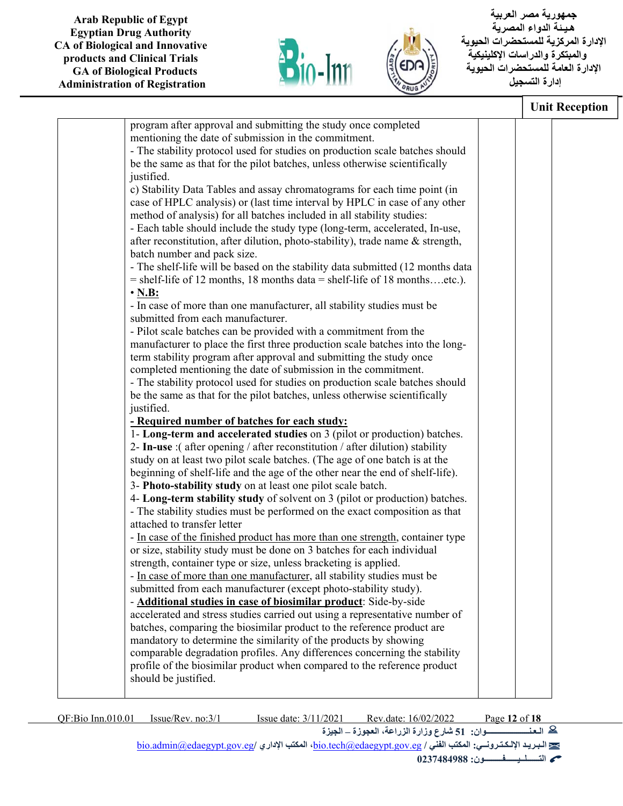



 **جمهورية مصر العربية هـيـ ئة الدواء المصرية الإدارة المركزية للمستحضرات الحيوية والمبتكرة والدراسات الإكلينيكية الإدارة العامة للمستحضرات الحيوية إدارة التسجيل**

|                                                                                                                                            | <b>Unit Reception</b> |  |
|--------------------------------------------------------------------------------------------------------------------------------------------|-----------------------|--|
| program after approval and submitting the study once completed                                                                             |                       |  |
| mentioning the date of submission in the commitment.                                                                                       |                       |  |
| - The stability protocol used for studies on production scale batches should                                                               |                       |  |
| be the same as that for the pilot batches, unless otherwise scientifically                                                                 |                       |  |
| justified.                                                                                                                                 |                       |  |
| c) Stability Data Tables and assay chromatograms for each time point (in                                                                   |                       |  |
| case of HPLC analysis) or (last time interval by HPLC in case of any other                                                                 |                       |  |
| method of analysis) for all batches included in all stability studies:                                                                     |                       |  |
| - Each table should include the study type (long-term, accelerated, In-use,                                                                |                       |  |
| after reconstitution, after dilution, photo-stability), trade name & strength,<br>batch number and pack size.                              |                       |  |
| - The shelf-life will be based on the stability data submitted (12 months data                                                             |                       |  |
| $=$ shelf-life of 12 months, 18 months data $=$ shelf-life of 18 monthsetc.).                                                              |                       |  |
| $\cdot$ N.B:                                                                                                                               |                       |  |
| - In case of more than one manufacturer, all stability studies must be                                                                     |                       |  |
| submitted from each manufacturer.                                                                                                          |                       |  |
| - Pilot scale batches can be provided with a commitment from the                                                                           |                       |  |
| manufacturer to place the first three production scale batches into the long-                                                              |                       |  |
| term stability program after approval and submitting the study once                                                                        |                       |  |
| completed mentioning the date of submission in the commitment.                                                                             |                       |  |
| - The stability protocol used for studies on production scale batches should                                                               |                       |  |
| be the same as that for the pilot batches, unless otherwise scientifically                                                                 |                       |  |
| justified.                                                                                                                                 |                       |  |
| - Required number of batches for each study:                                                                                               |                       |  |
| 1- Long-term and accelerated studies on 3 (pilot or production) batches.                                                                   |                       |  |
| 2- In-use :( after opening / after reconstitution / after dilution) stability                                                              |                       |  |
| study on at least two pilot scale batches. (The age of one batch is at the                                                                 |                       |  |
| beginning of shelf-life and the age of the other near the end of shelf-life).                                                              |                       |  |
| 3- Photo-stability study on at least one pilot scale batch.<br>4- Long-term stability study of solvent on 3 (pilot or production) batches. |                       |  |
| - The stability studies must be performed on the exact composition as that                                                                 |                       |  |
| attached to transfer letter                                                                                                                |                       |  |
| - In case of the finished product has more than one strength, container type                                                               |                       |  |
| or size, stability study must be done on 3 batches for each individual                                                                     |                       |  |
| strength, container type or size, unless bracketing is applied.                                                                            |                       |  |
| - In case of more than one manufacturer, all stability studies must be                                                                     |                       |  |
| submitted from each manufacturer (except photo-stability study).                                                                           |                       |  |
| - Additional studies in case of biosimilar product: Side-by-side                                                                           |                       |  |
| accelerated and stress studies carried out using a representative number of                                                                |                       |  |
| batches, comparing the biosimilar product to the reference product are                                                                     |                       |  |
| mandatory to determine the similarity of the products by showing                                                                           |                       |  |
| comparable degradation profiles. Any differences concerning the stability                                                                  |                       |  |
| profile of the biosimilar product when compared to the reference product                                                                   |                       |  |
| should be justified.                                                                                                                       |                       |  |

QF:Bio Inn.010.01 Issue/Rev. no:3/1 Issue date: 3/11/2021 Rev.date: 16/02/2022 Page **12** of **18 الـعـنـــــــــــــــــــــوان: 51 شارع وزارة الزراعة، العجوزة – الجيزة** bio.admin@edaegypt.gov.eg**/ الإداري المكتب ،**bio.tech@edaegypt.gov.eg **/ الفني المكتب :الإلـكـتـرونــي الـبـريـد التــــــلــيــــــفـــــــــون: 0237484988**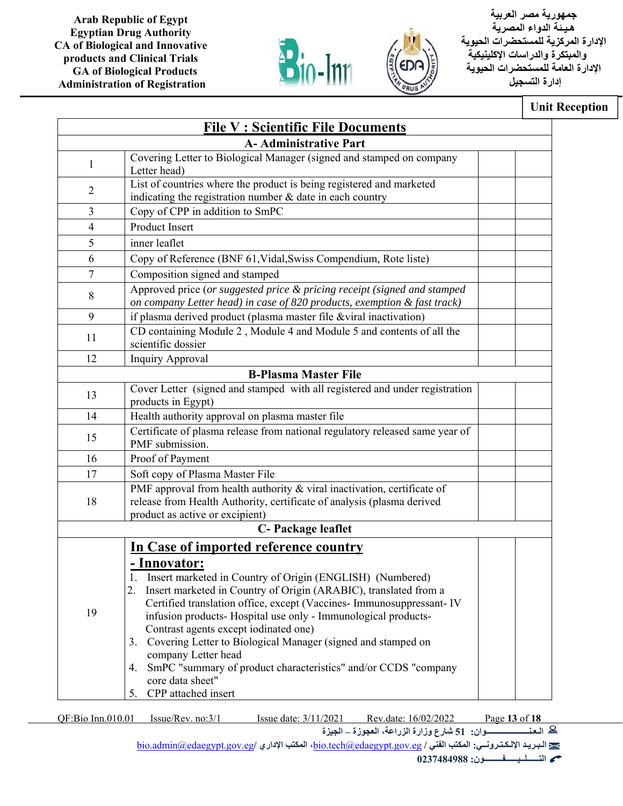



 **جمهورية مصر العربية هـيـ ئة الدواء المصرية الإدارة المركزية للمستحضرات الحيوية والمبتكرة والدراسات الإكلينيكية الإدارة العامة للمستحضرات الحيوية إدارة التسجيل**

## **Unit Reception**

| <b>File V: Scientific File Documents</b>                                                                                                                                                                                                                                                                                                                                                                                                                                                                                             |                                                                                                                                                                                                                          |
|--------------------------------------------------------------------------------------------------------------------------------------------------------------------------------------------------------------------------------------------------------------------------------------------------------------------------------------------------------------------------------------------------------------------------------------------------------------------------------------------------------------------------------------|--------------------------------------------------------------------------------------------------------------------------------------------------------------------------------------------------------------------------|
| <b>A-Administrative Part</b>                                                                                                                                                                                                                                                                                                                                                                                                                                                                                                         |                                                                                                                                                                                                                          |
| Letter head)                                                                                                                                                                                                                                                                                                                                                                                                                                                                                                                         |                                                                                                                                                                                                                          |
| indicating the registration number $\&$ date in each country                                                                                                                                                                                                                                                                                                                                                                                                                                                                         |                                                                                                                                                                                                                          |
| Copy of CPP in addition to SmPC                                                                                                                                                                                                                                                                                                                                                                                                                                                                                                      |                                                                                                                                                                                                                          |
| Product Insert                                                                                                                                                                                                                                                                                                                                                                                                                                                                                                                       |                                                                                                                                                                                                                          |
| inner leaflet                                                                                                                                                                                                                                                                                                                                                                                                                                                                                                                        |                                                                                                                                                                                                                          |
| Copy of Reference (BNF 61, Vidal, Swiss Compendium, Rote liste)                                                                                                                                                                                                                                                                                                                                                                                                                                                                      |                                                                                                                                                                                                                          |
| Composition signed and stamped                                                                                                                                                                                                                                                                                                                                                                                                                                                                                                       |                                                                                                                                                                                                                          |
| Approved price (or suggested price & pricing receipt (signed and stamped<br>on company Letter head) in case of 820 products, exemption & fast track)                                                                                                                                                                                                                                                                                                                                                                                 |                                                                                                                                                                                                                          |
| if plasma derived product (plasma master file &viral inactivation)                                                                                                                                                                                                                                                                                                                                                                                                                                                                   |                                                                                                                                                                                                                          |
| CD containing Module 2, Module 4 and Module 5 and contents of all the<br>scientific dossier                                                                                                                                                                                                                                                                                                                                                                                                                                          |                                                                                                                                                                                                                          |
| Inquiry Approval                                                                                                                                                                                                                                                                                                                                                                                                                                                                                                                     |                                                                                                                                                                                                                          |
| <b>B-Plasma Master File</b>                                                                                                                                                                                                                                                                                                                                                                                                                                                                                                          |                                                                                                                                                                                                                          |
| Cover Letter (signed and stamped with all registered and under registration<br>products in Egypt)                                                                                                                                                                                                                                                                                                                                                                                                                                    |                                                                                                                                                                                                                          |
| Health authority approval on plasma master file                                                                                                                                                                                                                                                                                                                                                                                                                                                                                      |                                                                                                                                                                                                                          |
| Certificate of plasma release from national regulatory released same year of<br>PMF submission.                                                                                                                                                                                                                                                                                                                                                                                                                                      |                                                                                                                                                                                                                          |
| Proof of Payment                                                                                                                                                                                                                                                                                                                                                                                                                                                                                                                     |                                                                                                                                                                                                                          |
| Soft copy of Plasma Master File                                                                                                                                                                                                                                                                                                                                                                                                                                                                                                      |                                                                                                                                                                                                                          |
| PMF approval from health authority & viral inactivation, certificate of<br>release from Health Authority, certificate of analysis (plasma derived                                                                                                                                                                                                                                                                                                                                                                                    |                                                                                                                                                                                                                          |
| C- Package leaflet                                                                                                                                                                                                                                                                                                                                                                                                                                                                                                                   |                                                                                                                                                                                                                          |
|                                                                                                                                                                                                                                                                                                                                                                                                                                                                                                                                      |                                                                                                                                                                                                                          |
| <u>- Innovator:</u><br>1. Insert marketed in Country of Origin (ENGLISH) (Numbered)<br>2. Insert marketed in Country of Origin (ARABIC), translated from a<br>Certified translation office, except (Vaccines- Immunosuppressant- IV<br>infusion products- Hospital use only - Immunological products-<br>Contrast agents except iodinated one)<br>3. Covering Letter to Biological Manager (signed and stamped on<br>company Letter head<br>SmPC "summary of product characteristics" and/or CCDS "company<br>4.<br>core data sheet" |                                                                                                                                                                                                                          |
|                                                                                                                                                                                                                                                                                                                                                                                                                                                                                                                                      | Covering Letter to Biological Manager (signed and stamped on company<br>List of countries where the product is being registered and marketed<br>product as active or excipient)<br>In Case of imported reference country |

QF:Bio Inn.010.01 Issue/Rev. no:3/1 Issue date: 3/11/2021 Rev.date: 16/02/2022 Page **13** of **18**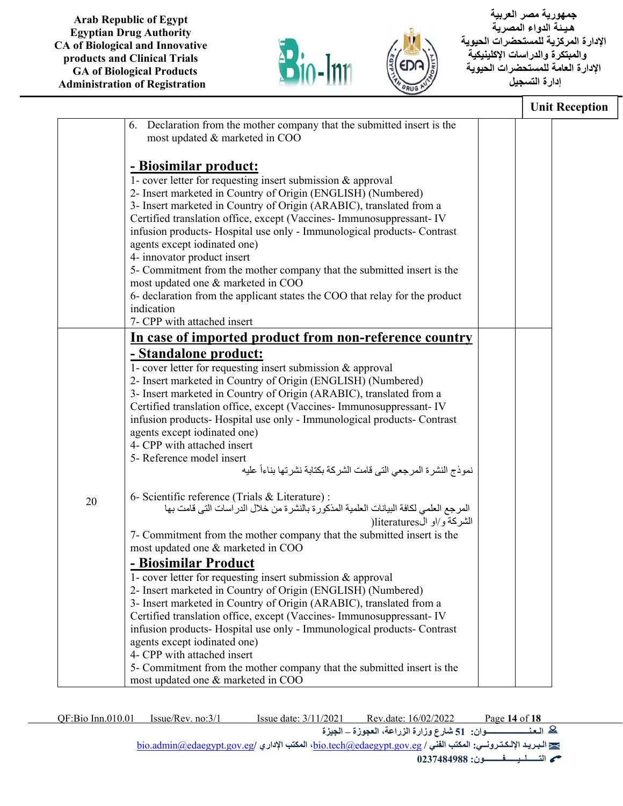



 **جمهورية مصر العربية هـيـ ئة الدواء المصرية الإدارة المركزية للمستحضرات الحيوية والمبتكرة والدراسات الإكلينيكية الإدارة العامة للمستحضرات الحيوية إدارة التسجيل**

|    |                                                                                                         | <b>Unit Reception</b> |  |
|----|---------------------------------------------------------------------------------------------------------|-----------------------|--|
|    | Declaration from the mother company that the submitted insert is the<br>6.                              |                       |  |
|    | most updated & marketed in COO                                                                          |                       |  |
|    |                                                                                                         |                       |  |
|    | <u>- Biosimilar product:</u>                                                                            |                       |  |
|    | 1- cover letter for requesting insert submission & approval                                             |                       |  |
|    | 2- Insert marketed in Country of Origin (ENGLISH) (Numbered)                                            |                       |  |
|    | 3- Insert marketed in Country of Origin (ARABIC), translated from a                                     |                       |  |
|    | Certified translation office, except (Vaccines- Immunosuppressant- IV                                   |                       |  |
|    | infusion products- Hospital use only - Immunological products- Contrast                                 |                       |  |
|    | agents except iodinated one)                                                                            |                       |  |
|    | 4- innovator product insert                                                                             |                       |  |
|    | 5- Commitment from the mother company that the submitted insert is the                                  |                       |  |
|    | most updated one & marketed in COO                                                                      |                       |  |
|    | 6- declaration from the applicant states the COO that relay for the product                             |                       |  |
|    | indication                                                                                              |                       |  |
|    | 7- CPP with attached insert                                                                             |                       |  |
|    | In case of imported product from non-reference country                                                  |                       |  |
|    |                                                                                                         |                       |  |
|    | <u>- Standalone product:</u>                                                                            |                       |  |
|    | 1- cover letter for requesting insert submission & approval                                             |                       |  |
|    | 2- Insert marketed in Country of Origin (ENGLISH) (Numbered)                                            |                       |  |
|    | 3- Insert marketed in Country of Origin (ARABIC), translated from a                                     |                       |  |
|    | Certified translation office, except (Vaccines- Immunosuppressant- IV                                   |                       |  |
|    | infusion products- Hospital use only - Immunological products- Contrast<br>agents except iodinated one) |                       |  |
|    | 4- CPP with attached insert                                                                             |                       |  |
|    | 5- Reference model insert                                                                               |                       |  |
|    | نموذج النشرة المرجعي التي قامت الشركة بكتابة نشرتها بناءأ عليه                                          |                       |  |
|    |                                                                                                         |                       |  |
|    | 6- Scientific reference (Trials & Literature) :                                                         |                       |  |
| 20 | المرجع العلمي لكافة البيانات العلمية المذكورة بالنشرة من خلال الدراسات التي قامت بها                    |                       |  |
|    | الشركة و/او ال)literatures                                                                              |                       |  |
|    | 7- Commitment from the mother company that the submitted insert is the                                  |                       |  |
|    | most updated one & marketed in COO                                                                      |                       |  |
|    | <b>Biosimilar Product</b>                                                                               |                       |  |
|    | 1- cover letter for requesting insert submission & approval                                             |                       |  |
|    | 2- Insert marketed in Country of Origin (ENGLISH) (Numbered)                                            |                       |  |
|    | 3- Insert marketed in Country of Origin (ARABIC), translated from a                                     |                       |  |
|    | Certified translation office, except (Vaccines- Immunosuppressant- IV                                   |                       |  |
|    | infusion products- Hospital use only - Immunological products- Contrast                                 |                       |  |
|    | agents except iodinated one)                                                                            |                       |  |
|    | 4- CPP with attached insert                                                                             |                       |  |
|    | 5- Commitment from the mother company that the submitted insert is the                                  |                       |  |
|    | most updated one & marketed in COO                                                                      |                       |  |
|    |                                                                                                         |                       |  |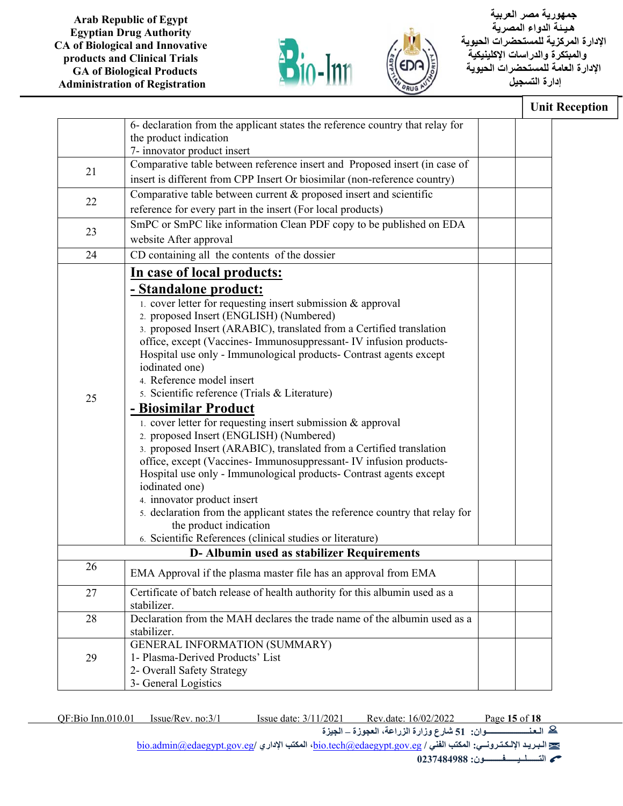



 **جمهورية مصر العربية هـيـ ئة الدواء المصرية الإدارة المركزية للمستحضرات الحيوية والمبتكرة والدراسات الإكلينيكية الإدارة العامة للمستحضرات الحيوية إدارة التسجيل**

|    |                                                                                                                                                                                                                                                                                                                                                                                                                                                                                                                                                                                                                                                                                                                                                                                                                                                                                                                                                                                                                                                                                       | <b>Unit Reception</b> |
|----|---------------------------------------------------------------------------------------------------------------------------------------------------------------------------------------------------------------------------------------------------------------------------------------------------------------------------------------------------------------------------------------------------------------------------------------------------------------------------------------------------------------------------------------------------------------------------------------------------------------------------------------------------------------------------------------------------------------------------------------------------------------------------------------------------------------------------------------------------------------------------------------------------------------------------------------------------------------------------------------------------------------------------------------------------------------------------------------|-----------------------|
|    | 6- declaration from the applicant states the reference country that relay for<br>the product indication<br>7- innovator product insert                                                                                                                                                                                                                                                                                                                                                                                                                                                                                                                                                                                                                                                                                                                                                                                                                                                                                                                                                |                       |
| 21 | Comparative table between reference insert and Proposed insert (in case of<br>insert is different from CPP Insert Or biosimilar (non-reference country)                                                                                                                                                                                                                                                                                                                                                                                                                                                                                                                                                                                                                                                                                                                                                                                                                                                                                                                               |                       |
| 22 | Comparative table between current & proposed insert and scientific<br>reference for every part in the insert (For local products)                                                                                                                                                                                                                                                                                                                                                                                                                                                                                                                                                                                                                                                                                                                                                                                                                                                                                                                                                     |                       |
| 23 | SmPC or SmPC like information Clean PDF copy to be published on EDA<br>website After approval                                                                                                                                                                                                                                                                                                                                                                                                                                                                                                                                                                                                                                                                                                                                                                                                                                                                                                                                                                                         |                       |
| 24 | CD containing all the contents of the dossier                                                                                                                                                                                                                                                                                                                                                                                                                                                                                                                                                                                                                                                                                                                                                                                                                                                                                                                                                                                                                                         |                       |
| 25 | In case of local products:<br><u>- Standalone product:</u><br>$\overline{1}$ . cover letter for requesting insert submission & approval<br>2. proposed Insert (ENGLISH) (Numbered)<br>3. proposed Insert (ARABIC), translated from a Certified translation<br>office, except (Vaccines- Immunosuppressant- IV infusion products-<br>Hospital use only - Immunological products- Contrast agents except<br>iodinated one)<br>4. Reference model insert<br>5. Scientific reference (Trials & Literature)<br>- Biosimilar Product<br>1. cover letter for requesting insert submission & approval<br>2. proposed Insert (ENGLISH) (Numbered)<br>3. proposed Insert (ARABIC), translated from a Certified translation<br>office, except (Vaccines- Immunosuppressant- IV infusion products-<br>Hospital use only - Immunological products- Contrast agents except<br>iodinated one)<br>4. innovator product insert<br>5. declaration from the applicant states the reference country that relay for<br>the product indication<br>6. Scientific References (clinical studies or literature) |                       |
|    | D- Albumin used as stabilizer Requirements                                                                                                                                                                                                                                                                                                                                                                                                                                                                                                                                                                                                                                                                                                                                                                                                                                                                                                                                                                                                                                            |                       |
| 26 | EMA Approval if the plasma master file has an approval from EMA                                                                                                                                                                                                                                                                                                                                                                                                                                                                                                                                                                                                                                                                                                                                                                                                                                                                                                                                                                                                                       |                       |
| 27 | Certificate of batch release of health authority for this albumin used as a<br>stabilizer.                                                                                                                                                                                                                                                                                                                                                                                                                                                                                                                                                                                                                                                                                                                                                                                                                                                                                                                                                                                            |                       |
| 28 | Declaration from the MAH declares the trade name of the albumin used as a<br>stabilizer.                                                                                                                                                                                                                                                                                                                                                                                                                                                                                                                                                                                                                                                                                                                                                                                                                                                                                                                                                                                              |                       |
| 29 | GENERAL INFORMATION (SUMMARY)<br>1- Plasma-Derived Products' List<br>2- Overall Safety Strategy<br>3- General Logistics                                                                                                                                                                                                                                                                                                                                                                                                                                                                                                                                                                                                                                                                                                                                                                                                                                                                                                                                                               |                       |

QF:Bio Inn.010.01 Issue/Rev. no:3/1 Issue date: 3/11/2021 Rev.date: 16/02/2022 Page **15** of **18 الـعـنـــــــــــــــــــــوان: 51 شارع وزارة الزراعة، العجوزة – الجيزة** bio.admin@edaegypt.gov.eg**/ الإداري المكتب ،**bio.tech@edaegypt.gov.eg **/ الفني المكتب :الإلـكـتـرونــي الـبـريـد التــــــلــيــــــفـــــــــون: 0237484988**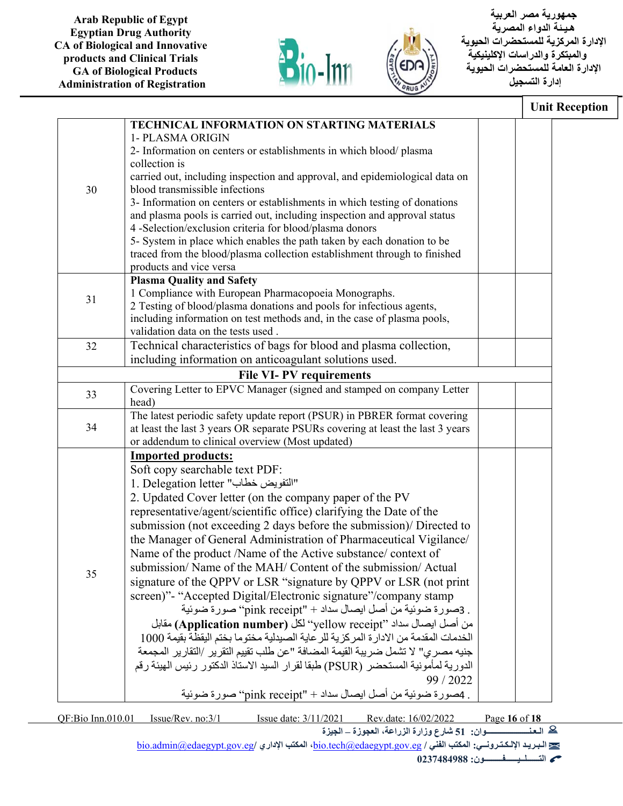



|    |                                                                                      | <b>Unit Reception</b> |
|----|--------------------------------------------------------------------------------------|-----------------------|
|    | TECHNICAL INFORMATION ON STARTING MATERIALS                                          |                       |
|    | 1- PLASMA ORIGIN                                                                     |                       |
|    | 2- Information on centers or establishments in which blood/plasma                    |                       |
|    | collection is                                                                        |                       |
|    | carried out, including inspection and approval, and epidemiological data on          |                       |
| 30 | blood transmissible infections                                                       |                       |
|    | 3- Information on centers or establishments in which testing of donations            |                       |
|    | and plasma pools is carried out, including inspection and approval status            |                       |
|    | 4 -Selection/exclusion criteria for blood/plasma donors                              |                       |
|    | 5- System in place which enables the path taken by each donation to be               |                       |
|    | traced from the blood/plasma collection establishment through to finished            |                       |
|    | products and vice versa                                                              |                       |
|    | <b>Plasma Quality and Safety</b>                                                     |                       |
| 31 | 1 Compliance with European Pharmacopoeia Monographs.                                 |                       |
|    | 2 Testing of blood/plasma donations and pools for infectious agents,                 |                       |
|    | including information on test methods and, in the case of plasma pools,              |                       |
|    | validation data on the tests used.                                                   |                       |
| 32 | Technical characteristics of bags for blood and plasma collection,                   |                       |
|    | including information on anticoagulant solutions used.                               |                       |
|    | <b>File VI-PV requirements</b>                                                       |                       |
| 33 | Covering Letter to EPVC Manager (signed and stamped on company Letter                |                       |
|    | head)                                                                                |                       |
|    | The latest periodic safety update report (PSUR) in PBRER format covering             |                       |
| 34 | at least the last 3 years OR separate PSURs covering at least the last 3 years       |                       |
|    | or addendum to clinical overview (Most updated)                                      |                       |
|    | <b>Imported products:</b>                                                            |                       |
|    | Soft copy searchable text PDF:                                                       |                       |
|    | 1. Delegation letter "التفويض خطاب"                                                  |                       |
|    | 2. Updated Cover letter (on the company paper of the PV                              |                       |
|    | representative/agent/scientific office) clarifying the Date of the                   |                       |
|    | submission (not exceeding 2 days before the submission)/ Directed to                 |                       |
|    | the Manager of General Administration of Pharmaceutical Vigilance/                   |                       |
|    | Name of the product /Name of the Active substance/ context of                        |                       |
|    |                                                                                      |                       |
| 35 | submission/Name of the MAH/Content of the submission/Actual                          |                       |
|    | signature of the QPPV or LSR "signature by QPPV or LSR (not print                    |                       |
|    | screen)"- "Accepted Digital/Electronic signature"/company stamp                      |                       |
|    | . 3صورة ضوئية من أصل ايصال سداد + "pink receipt" صورة ضوئية                          |                       |
|    | من أصل ايصال سداد "yellow receipt" لكل (Application number) مقابل                    |                       |
|    | الخدمات المقدمة من الادار ة المركزية للر عاية الصيدلية مختوما بختم اليقظة بقيمة 1000 |                       |
|    | جنيه مصري" لا تشمل ضريبة القيمة المضافة "عن طلب تقييم التقرير /التقارير المجمعة      |                       |
|    | الدورية لمأمونية المستحضر (PSUR) طبقا لقرار السيد الاستاذ الدكتور رئيس الهيئة رقم    |                       |
|    | 99 / 2022                                                                            |                       |
|    | . 4صورة ضوئية من أصل ايصال سداد + "pink receipt" صورة ضوئية                          |                       |
|    |                                                                                      |                       |

QF:Bio Inn.010.01 Issue/Rev. no:3/1 Issue date: 3/11/2021 Rev.date: 16/02/2022 Page **16** of **18 الـعـنـــــــــــــــــــــوان: 51 شارع وزارة الزراعة، العجوزة – الجيزة**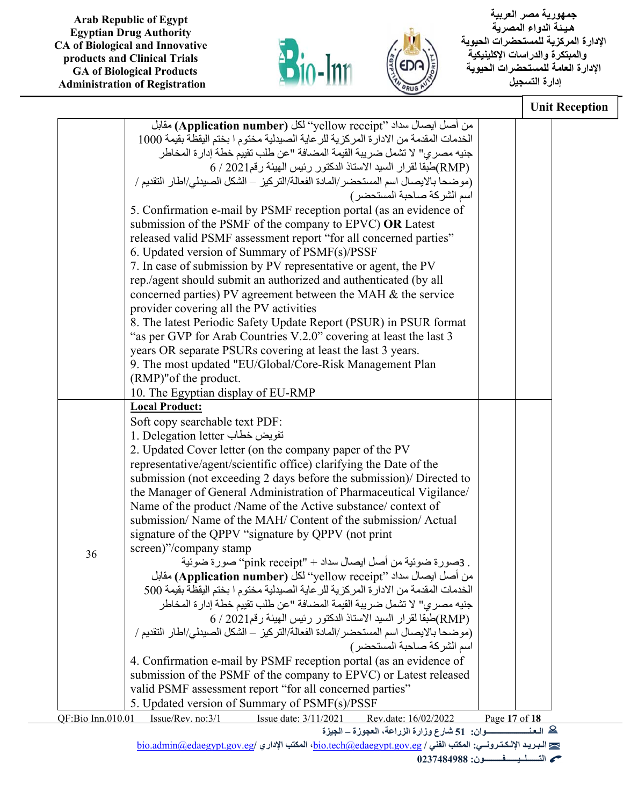



 **جمهورية مصر العربية هـيـ ئة الدواء المصرية الإدارة المركزية للمستحضرات الحيوية والمبتكرة والدراسات الإكلينيكية الإدارة العامة للمستحضرات الحيوية إدارة التسجيل**

|                   |                                                                                      |               | <b>Unit Reception</b> |
|-------------------|--------------------------------------------------------------------------------------|---------------|-----------------------|
|                   | من أصل ايصال سداد "yellow receipt" لكل (Application number) مقابل                    |               |                       |
|                   | الخدمات المقدمة من الادارة المركزية للر عاية الصيدلية مختوم ا بختم اليقظة بقيمة 1000 |               |                       |
|                   | جنيه مصري" لا تشمل ضريبة القيمة المضافة "عن طلب تقييم خطة إدارة المخاطر              |               |                       |
|                   | (RMP)طبقا لقرار السيد الاستاذ الدكتور رئيس الهيئة رقم2021 / 6 /                      |               |                       |
|                   | (موضحا بالايصال اسم المستحضر/المادة الفعالة/التركيز – الشكل الصبدلي/اطار التقديم /   |               |                       |
|                   | اسم الشركة صاحبة المستحضر)                                                           |               |                       |
|                   | 5. Confirmation e-mail by PSMF reception portal (as an evidence of                   |               |                       |
|                   | submission of the PSMF of the company to EPVC) OR Latest                             |               |                       |
|                   | released valid PSMF assessment report "for all concerned parties"                    |               |                       |
|                   | 6. Updated version of Summary of PSMF(s)/PSSF                                        |               |                       |
|                   | 7. In case of submission by PV representative or agent, the PV                       |               |                       |
|                   | rep./agent should submit an authorized and authenticated (by all                     |               |                       |
|                   | concerned parties) PV agreement between the MAH & the service                        |               |                       |
|                   | provider covering all the PV activities                                              |               |                       |
|                   | 8. The latest Periodic Safety Update Report (PSUR) in PSUR format                    |               |                       |
|                   | "as per GVP for Arab Countries V.2.0" covering at least the last 3                   |               |                       |
|                   | years OR separate PSURs covering at least the last 3 years.                          |               |                       |
|                   | 9. The most updated "EU/Global/Core-Risk Management Plan                             |               |                       |
|                   | (RMP)" of the product.                                                               |               |                       |
|                   | 10. The Egyptian display of EU-RMP                                                   |               |                       |
|                   | <b>Local Product:</b>                                                                |               |                       |
|                   | Soft copy searchable text PDF:                                                       |               |                       |
|                   | 1. Delegation letter تقويض خطاب                                                      |               |                       |
|                   | 2. Updated Cover letter (on the company paper of the PV                              |               |                       |
|                   | representative/agent/scientific office) clarifying the Date of the                   |               |                       |
|                   | submission (not exceeding 2 days before the submission)/ Directed to                 |               |                       |
|                   | the Manager of General Administration of Pharmaceutical Vigilance/                   |               |                       |
|                   | Name of the product /Name of the Active substance/ context of                        |               |                       |
|                   | submission/Name of the MAH/Content of the submission/Actual                          |               |                       |
|                   | signature of the QPPV "signature by QPPV (not print                                  |               |                       |
| 36                | screen)"/company stamp                                                               |               |                       |
|                   | . 3صورة ضوئية من أصل ايصال سداد + "pink receipt" صورة ضوئية                          |               |                       |
|                   | من أصل ايصال سداد ''yellow receipt'' لكل (Application number) مقابل                  |               |                       |
|                   | الخدمات المقدمة من الادارة المركزية للر عاية الصيدلية مختوم ا بختم اليقظة بقيمة 500  |               |                       |
|                   | جنيه مصري" لا تشمل ضريبة القيمة المضافة "عن طلب تقييم خطة إدارة المخاطر              |               |                       |
|                   | (RMP)طبقا لقرار السيد الاستاذ الدكتور رئيس الهيئة رقم2021 / 6 /                      |               |                       |
|                   | (موضحاً بالايصال اسم المستحضر /المادة الفعالة/التركيز – الشكل الصيدلي/اطار التقديم / |               |                       |
|                   | اسم الشركة صاحبة المستحضر)                                                           |               |                       |
|                   | 4. Confirmation e-mail by PSMF reception portal (as an evidence of                   |               |                       |
|                   | submission of the PSMF of the company to EPVC) or Latest released                    |               |                       |
|                   | valid PSMF assessment report "for all concerned parties"                             |               |                       |
|                   | 5. Updated version of Summary of PSMF(s)/PSSF                                        |               |                       |
| QF:Bio Inn.010.01 | Issue/Rev. no:3/1<br>Issue date: 3/11/2021<br>Rev.date: 16/02/2022                   | Page 17 of 18 |                       |

**الـعـنـــــــــــــــــــــوان: 51 شارع وزارة الزراعة، العجوزة – الجيزة**